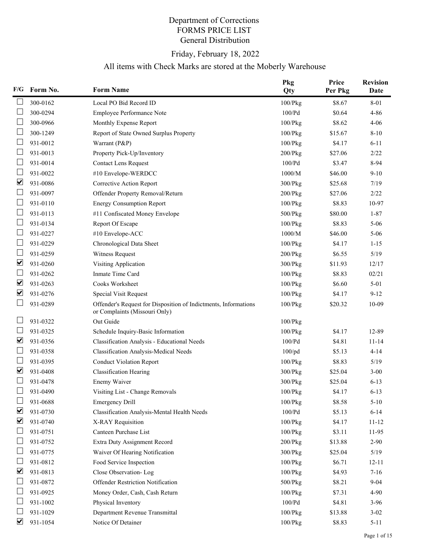## Department of Corrections FORMS PRICE LIST General Distribution

## Friday, February 18, 2022

## All items with Check Marks are stored at the Moberly Warehouse

| F/G                     | Form No. | <b>Form Name</b>                                                                                 | Pkg<br>Qty    | Price<br>Per Pkg | <b>Revision</b><br>Date |
|-------------------------|----------|--------------------------------------------------------------------------------------------------|---------------|------------------|-------------------------|
|                         | 300-0162 | Local PO Bid Record ID                                                                           | 100/Pkg       | \$8.67           | $8 - 01$                |
|                         | 300-0294 | Employee Performance Note                                                                        | 100/Pd        | \$0.64           | $4 - 86$                |
|                         | 300-0966 | Monthly Expense Report                                                                           | $100$ / $Pkg$ | \$8.62           | $4 - 06$                |
|                         | 300-1249 | Report of State Owned Surplus Property                                                           | $100$ / $Pkg$ | \$15.67          | $8 - 10$                |
|                         | 931-0012 | Warrant (P&P)                                                                                    | $100$ / $Pkg$ | \$4.17           | $6 - 11$                |
|                         | 931-0013 | Property Pick-Up/Inventory                                                                       | $200$ / $Pkg$ | \$27.06          | 2/22                    |
|                         | 931-0014 | <b>Contact Lens Request</b>                                                                      | 100/Pd        | \$3.47           | 8-94                    |
|                         | 931-0022 | #10 Envelope-WERDCC                                                                              | 1000/M        | \$46.00          | $9-10$                  |
| ☑                       | 931-0086 | Corrective Action Report                                                                         | $300$ / $Pkg$ | \$25.68          | 7/19                    |
| └                       | 931-0097 | Offender Property Removal/Return                                                                 | $200$ / $Pkg$ | \$27.06          | 2/22                    |
|                         | 931-0110 | <b>Energy Consumption Report</b>                                                                 | 100/Pkg       | \$8.83           | 10-97                   |
|                         | 931-0113 | #11 Confiscated Money Envelope                                                                   | $500$ / $Pkg$ | \$80.00          | $1 - 87$                |
|                         | 931-0134 | Report Of Escape                                                                                 | $100$ / $Pkg$ | \$8.83           | $5 - 06$                |
|                         | 931-0227 | #10 Envelope-ACC                                                                                 | 1000/M        | \$46.00          | $5 - 06$                |
|                         | 931-0229 | Chronological Data Sheet                                                                         | $100$ / $Pkg$ | \$4.17           | $1 - 15$                |
|                         | 931-0259 | Witness Request                                                                                  | $200$ / $Pkg$ | \$6.55           | $5/19$                  |
| $\overline{\mathbf{v}}$ | 931-0260 | Visiting Application                                                                             | $300$ / $Pkg$ | \$11.93          | 12/17                   |
|                         | 931-0262 | Inmate Time Card                                                                                 | $100$ / $Pkg$ | \$8.83           | 02/21                   |
| $\overline{\mathbf{v}}$ | 931-0263 | Cooks Worksheet                                                                                  | $100$ / $Pkg$ | \$6.60           | $5 - 01$                |
| ☑                       | 931-0276 | <b>Special Visit Request</b>                                                                     | $100$ / $Pkg$ | \$4.17           | $9 - 12$                |
|                         | 931-0289 | Offender's Request for Disposition of Indictments, Informations<br>or Complaints (Missouri Only) | $100$ / $Pkg$ | \$20.32          | $10-09$                 |
|                         | 931-0322 | Out Guide                                                                                        | $100$ / $Pkg$ |                  |                         |
|                         | 931-0325 | Schedule Inquiry-Basic Information                                                               | 100/Pkg       | \$4.17           | 12-89                   |
| $\overline{\mathbf{v}}$ | 931-0356 | Classification Analysis - Educational Needs                                                      | 100/Pd        | \$4.81           | $11 - 14$               |
|                         | 931-0358 | <b>Classification Analysis-Medical Needs</b>                                                     | $100$ /pd     | \$5.13           | $4 - 14$                |
|                         | 931-0395 | <b>Conduct Violation Report</b>                                                                  | $100$ / $Pkg$ | \$8.83           | 5/19                    |
| $\blacktriangledown$    | 931-0408 | <b>Classification Hearing</b>                                                                    | 300/Pkg       | \$25.04          | $3 - 00$                |
|                         | 931-0478 | Enemy Waiver                                                                                     | 300/Pkg       | \$25.04          | $6 - 13$                |
|                         | 931-0490 | Visiting List - Change Removals                                                                  | $100$ / $Pkg$ | \$4.17           | $6 - 13$                |
|                         | 931-0688 | <b>Emergency Drill</b>                                                                           | 100/Pkg       | \$8.58           | $5 - 10$                |
| ⊻                       | 931-0730 | Classification Analysis-Mental Health Needs                                                      | $100/Pd$      | \$5.13           | $6 - 14$                |
| $\overline{\mathbf{v}}$ | 931-0740 | X-RAY Requisition                                                                                | 100/Pkg       | \$4.17           | $11 - 12$               |
|                         | 931-0751 | Canteen Purchase List                                                                            | 100/Pkg       | \$3.11           | 11-95                   |
|                         | 931-0752 | Extra Duty Assignment Record                                                                     | 200/Pkg       | \$13.88          | $2 - 90$                |
|                         | 931-0775 | Waiver Of Hearing Notification                                                                   | 300/Pkg       | \$25.04          | 5/19                    |
|                         | 931-0812 | Food Service Inspection                                                                          | $100$ / $Pkg$ | \$6.71           | $12 - 11$               |
| ☑                       | 931-0813 | Close Observation-Log                                                                            | 100/Pkg       | \$4.93           | $7-16$                  |
|                         | 931-0872 | Offender Restriction Notification                                                                | 500/Pkg       | \$8.21           | $9 - 04$                |
|                         | 931-0925 | Money Order, Cash, Cash Return                                                                   | 100/Pkg       | \$7.31           | 4-90                    |
|                         | 931-1002 | Physical Inventory                                                                               | 100/Pd        | \$4.81           | $3-96$                  |
|                         | 931-1029 | Department Revenue Transmittal                                                                   | $100$ / $Pkg$ | \$13.88          | $3 - 02$                |
| ☑                       | 931-1054 | Notice Of Detainer                                                                               | 100/Pkg       | \$8.83           | $5 - 11$                |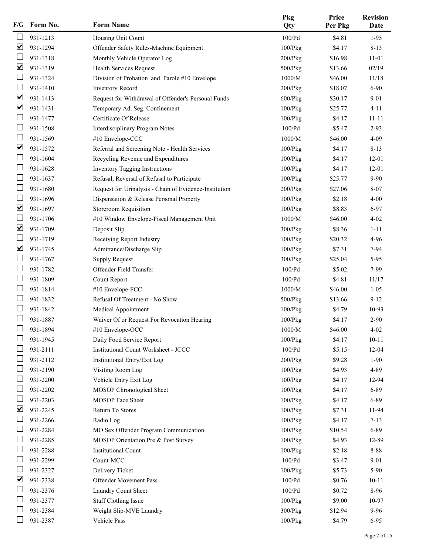| F/G                  | Form No. | <b>Form Name</b>                                       | Pkg<br>Qty    | Price<br>Per Pkg | <b>Revision</b><br>Date |
|----------------------|----------|--------------------------------------------------------|---------------|------------------|-------------------------|
|                      | 931-1213 | Housing Unit Count                                     | 100/Pd        | \$4.81           | $1-95$                  |
| ☑                    | 931-1294 | Offender Safety Rules-Machine Equipment                | 100/Pkg       | \$4.17           | $8 - 13$                |
|                      | 931-1318 | Monthly Vehicle Operator Log                           | $200$ / $Pkg$ | \$16.98          | 11-01                   |
| ☑                    | 931-1319 | Health Services Request                                | 500/Pkg       | \$13.66          | 02/19                   |
| $\Box$               | 931-1324 | Division of Probation and Parole #10 Envelope          | 1000/M        | \$46.00          | 11/18                   |
|                      | 931-1410 | <b>Inventory Record</b>                                | $200$ / $Pkg$ | \$18.07          | $6 - 90$                |
| ☑                    | 931-1413 | Request for Withdrawal of Offender's Personal Funds    | $600$ / $Pkg$ | \$30.17          | $9 - 01$                |
| $\blacktriangledown$ | 931-1431 | Temporary Ad. Seg. Confinement                         | 100/Pkg       | \$25.77          | $4 - 11$                |
|                      | 931-1477 | Certificate Of Release                                 | $100$ / $Pkg$ | \$4.17           | $11 - 11$               |
| Ш                    | 931-1508 | Interdisciplinary Program Notes                        | 100/Pd        | \$5.47           | $2 - 93$                |
| L                    | 931-1569 | #10 Envelope-CCC                                       | 1000/M        | \$46.00          | $4 - 09$                |
| ☑                    | 931-1572 | Referral and Screening Note - Health Services          | 100/Pkg       | \$4.17           | $8 - 13$                |
|                      | 931-1604 | Recycling Revenue and Expenditures                     | 100/Pkg       | \$4.17           | $12 - 01$               |
|                      | 931-1628 | <b>Inventory Tagging Instructions</b>                  | 100/Pkg       | \$4.17           | $12 - 01$               |
| $\mathbf{L}$         | 931-1637 | Refusal, Reversal of Refusal to Participate            | 100/Pkg       | \$25.77          | $9 - 90$                |
|                      | 931-1680 | Request for Urinalysis - Chain of Evidence-Institution | $200$ / $Pkg$ | \$27.06          | $8 - 07$                |
|                      | 931-1696 | Dispensation & Release Personal Property               | 100/Pkg       | \$2.18           | $4 - 00$                |
| $\blacktriangledown$ | 931-1697 | Storeroom Requisition                                  | 100/Pkg       | \$8.83           | 6-97                    |
|                      | 931-1706 | #10 Window Envelope-Fiscal Management Unit             | $1000/M$      | \$46.00          | $4 - 02$                |
| ☑                    | 931-1709 | Deposit Slip                                           | 300/Pkg       | \$8.36           | $1 - 11$                |
|                      | 931-1719 | Receiving Report Industry                              | 100/Pkg       | \$20.32          | 4-96                    |
| ☑                    | 931-1745 | Admittance/Discharge Slip                              | 100/Pkg       | \$7.31           | 7-94                    |
|                      | 931-1767 | <b>Supply Request</b>                                  | 300/Pkg       | \$25.04          | $5-95$                  |
|                      | 931-1782 | Offender Field Transfer                                | 100/Pd        | \$5.02           | 7-99                    |
| L                    | 931-1809 | Count Report                                           | 100/Pd        | \$4.81           | 11/17                   |
|                      | 931-1814 | #10 Envelope-FCC                                       | 1000/M        | \$46.00          | $1 - 05$                |
|                      | 931-1832 | Refusal Of Treatment - No Show                         | $500$ / $Pkg$ | \$13.66          | $9-12$                  |
|                      | 931-1842 | Medical Appointment                                    | 100/Pkg       | \$4.79           | 10-93                   |
|                      | 931-1887 | Waiver Of or Request For Revocation Hearing            | 100/Pkg       | \$4.17           | $2 - 90$                |
|                      | 931-1894 | #10 Envelope-OCC                                       | 1000/M        | \$46.00          | $4 - 02$                |
|                      | 931-1945 | Daily Food Service Report                              | $100$ / $Pkg$ | \$4.17           | $10 - 11$               |
|                      | 931-2111 | Institutional Count Worksheet - JCCC                   | 100/Pd        | \$5.15           | $12 - 04$               |
|                      | 931-2112 | Institutional Entry/Exit Log                           | $200$ / $Pkg$ | \$9.28           | $1-90$                  |
|                      | 931-2190 | Visiting Room Log                                      | 100/Pkg       | \$4.93           | 4-89                    |
| L                    | 931-2200 | Vehicle Entry Exit Log                                 | 100/Pkg       | \$4.17           | 12-94                   |
|                      | 931-2202 | MOSOP Chronological Sheet                              | $100$ / $Pkg$ | \$4.17           | 6-89                    |
|                      | 931-2203 | MOSOP Face Sheet                                       | 100/Pkg       | \$4.17           | 6-89                    |
| $\blacktriangledown$ | 931-2245 | Return To Stores                                       | $100$ / $Pkg$ | \$7.31           | 11-94                   |
|                      | 931-2266 | Radio Log                                              | $100$ / $Pkg$ | \$4.17           | $7 - 13$                |
| ப                    | 931-2284 | MO Sex Offender Program Communication                  | 100/Pkg       | \$10.54          | 6-89                    |
|                      | 931-2285 | MOSOP Orientation Pre & Post Survey                    | $100$ / $Pkg$ | \$4.93           | 12-89                   |
|                      | 931-2288 | <b>Institutional Count</b>                             | 100/Pkg       | \$2.18           | $8 - 88$                |
|                      | 931-2299 | Count-MCC                                              | 100/Pd        | \$3.47           | $9 - 01$                |
|                      | 931-2327 | Delivery Ticket                                        | 100/Pkg       | \$5.73           | 5-90                    |
| ☑                    | 931-2338 | Offender Movement Pass                                 | $100/Pd$      | \$0.76           | $10 - 11$               |
|                      | 931-2376 | Laundry Count Sheet                                    | $100/Pd$      | \$0.72           | 8-96                    |
|                      | 931-2377 | <b>Staff Clothing Issue</b>                            | $100$ / $Pkg$ | \$9.00           | 10-97                   |
|                      | 931-2384 | Weight Slip-MVE Laundry                                | 300/Pkg       | \$12.94          | $9 - 96$                |
|                      | 931-2387 | Vehicle Pass                                           | $100$ / $Pkg$ | \$4.79           | $6 - 95$                |
|                      |          |                                                        |               |                  |                         |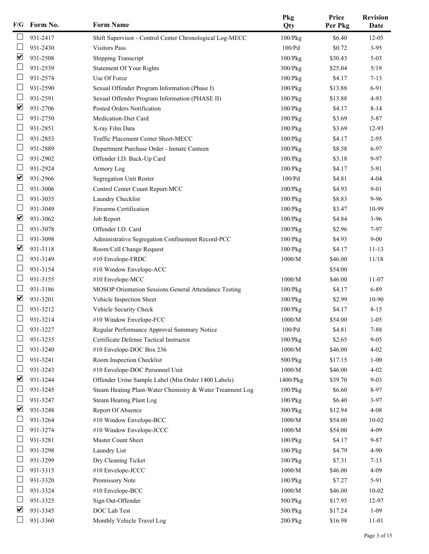| F/G                          | Form No. | <b>Form Name</b>                                          | Pkg<br>Qty        | Price<br>Per Pkg | <b>Revision</b><br>Date |
|------------------------------|----------|-----------------------------------------------------------|-------------------|------------------|-------------------------|
|                              | 931-2417 | Shift Supervisor - Control Center Chronological Log-MECC  | 100/Pkg           | \$6.40           | $12 - 05$               |
|                              | 931-2430 | <b>Visitors Pass</b>                                      | 100/Pd            | \$0.72           | $3-95$                  |
| $\blacktriangledown$         | 931-2508 | <b>Shipping Transcript</b>                                | $100$ / $Pkg$     | \$30.43          | $5 - 03$                |
|                              | 931-2539 | <b>Statement Of Your Rights</b>                           | $300$ / $Pkg$     | \$25.04          | 5/19                    |
|                              | 931-2574 | Use Of Force                                              | $100$ / $Pkg$     | \$4.17           | $7 - 13$                |
|                              | 931-2590 | Sexual Offender Program Information (Phase I)             | $100$ / $Pkg$     | \$13.88          | 6-91                    |
|                              | 931-2591 | Sexual Offender Program Information (PHASE II)            | $100$ / $Pkg$     | \$13.88          | $4-93$                  |
| $\blacktriangledown$         | 931-2706 | Posted Orders Notification                                | $100$ / $Pkg$     | \$4.17           | $8 - 14$                |
|                              | 931-2750 | Medication-Diet Card                                      | $100$ / $Pkg$     | \$3.69           | $5 - 87$                |
|                              | 931-2851 | X-ray Film Data                                           | $100$ / $Pkg$     | \$3.69           | 12-93                   |
|                              | 931-2853 | Traffic Placement Center Sheet-MECC                       | $100$ / $Pkg$     | \$4.17           | $2 - 95$                |
|                              | 931-2889 | Department Purchase Order - Inmate Canteen                | $100$ / $Pkg$     | \$8.58           | $6 - 97$                |
|                              | 931-2902 | Offender I.D. Back-Up Card                                | 100/Pkg           | \$3.18           | $9 - 97$                |
|                              | 931-2924 | Armory Log                                                | $100$ / $Pkg$     | \$4.17           | 5-91                    |
| $\boxed{\blacktriangledown}$ | 931-2966 | Segregation Unit Roster                                   | 100/Pd            | \$4.81           | $4 - 04$                |
|                              | 931-3006 | Control Center Count Report-MCC                           | 100/Pkg           | \$4.93           | $9 - 01$                |
|                              | 931-3035 | Laundry Checklist                                         | $100$ / $Pkg$     | \$8.83           | $9 - 96$                |
|                              | 931-3049 | <b>Firearms Certification</b>                             | $100$ / $Pkg$     | \$3.47           | 10-99                   |
| ☑                            | 931-3062 | Job Report                                                | $100$ / $Pkg$     | \$4.84           | $3-96$                  |
|                              | 931-3078 | Offender I.D. Card                                        | $100$ / $Pkg$     | \$2.96           | $7-97$                  |
|                              | 931-3098 | Administrative Segregation Confinement Record-PCC         | $100$ / $Pkg$     | \$4.93           | $9 - 00$                |
| ☑                            | 931-3118 | Room/Cell Change Request                                  | $100$ / $Pkg$     | \$4.17           | $11 - 13$               |
|                              | 931-3149 | #10 Envelope-FRDC                                         | 1000/M            | \$46.00          | 11/18                   |
|                              | 931-3154 | #10 Window Envelope-ACC                                   |                   | \$54.00          |                         |
|                              | 931-3155 | #10 Envelope-MCC                                          | 1000/M            | \$46.00          | $11 - 07$               |
|                              | 931-3186 | MOSOP Orientation Sessions General Attendance Testing     | $100$ / $Pkg$     | \$4.17           | 6-89                    |
| ☑                            | 931-3201 | Vehicle Inspection Sheet                                  | $100$ / $Pkg$     | \$2.99           | 10-90                   |
|                              | 931-3212 | Vehicle Security Check                                    | 100/Pkg           | \$4.17           | $8 - 15$                |
|                              | 931-3214 | #10 Window Envelope-FCC                                   | 1000/M            | \$54.00          | $1 - 05$                |
|                              | 931-3227 | Regular Performance Approval Summary Notice               | $100/\mathrm{Pd}$ | \$4.81           | $7 - 88$                |
|                              | 931-3235 | Certificate Defense Tactical Instructor                   | 100/Pkg           | \$2.65           | $9 - 05$                |
|                              | 931-3240 | #10 Envelope-DOC Box 236                                  | 1000/M            | \$46.00          | $4 - 02$                |
|                              | 931-3241 | Room Inspection Checklist                                 | $500$ / $Pkg$     | \$17.15          | $1 - 00$                |
|                              | 931-3243 | #10 Envelope-DOC Personnel Unit                           | $1000/M$          | \$46.00          | $4 - 02$                |
| ☑                            | 931-3244 | Offender Urine Sample Label (Min Order 1400 Labels)       | 1400/Pkg          | \$39.70          | $9 - 03$                |
|                              | 931-3245 | Steam Heating Plant-Water Chemistry & Water Treatment Log | 100/Pkg           | \$6.60           | 8-97                    |
|                              | 931-3247 | <b>Steam Heating Plant Log</b>                            | $100$ / $Pkg$     | \$6.40           | $3-97$                  |
| $\blacktriangledown$         | 931-3248 | Report Of Absence                                         | $300$ / $Pkg$     | \$12.94          | $4 - 08$                |
|                              | 931-3264 | #10 Window Envelope-BCC                                   | $1000/M$          | \$54.00          | $10 - 02$               |
|                              | 931-3274 | #10 Window Envelope-JCCC                                  | 1000/M            | \$54.00          | $4 - 09$                |
|                              | 931-3281 | Master Count Sheet                                        | $100$ / $Pkg$     | \$4.17           | $9 - 87$                |
|                              | 931-3298 | Laundry List                                              | $100$ / $Pkg$     | \$4.79           | 4-90                    |
|                              | 931-3299 | Dry Cleaning Ticket                                       | $100$ / $Pkg$     | \$7.31           | $7 - 13$                |
|                              | 931-3315 | #10 Envelope-JCCC                                         | $1000/M$          | \$46.00          | $4 - 09$                |
|                              | 931-3320 | Promissory Note                                           | $100$ / $Pkg$     | \$7.27           | 5-91                    |
|                              | 931-3324 | #10 Envelope-BCC                                          | $1000/M$          | \$46.00          | $10 - 02$               |
|                              | 931-3325 | Sign Out-Offender                                         | $500$ / $Pkg$     | \$17.95          | 12-97                   |
| ☑                            | 931-3345 | DOC Lab Test                                              | $500$ / $Pkg$     | \$17.24          | $1 - 09$                |
|                              | 931-3360 | Monthly Vehicle Travel Log                                | 200/Pkg           | \$16.98          | 11-01                   |
|                              |          |                                                           |                   |                  |                         |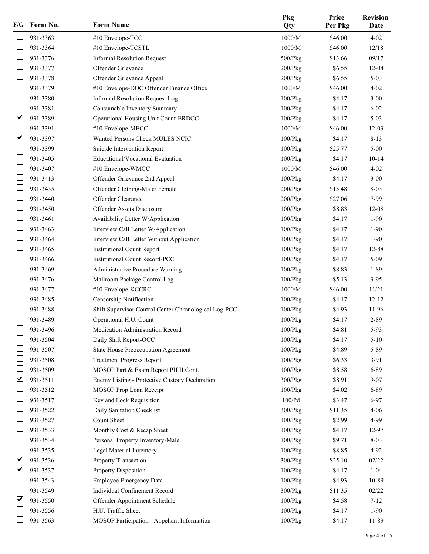| F/G                  | Form No. | <b>Form Name</b>                                      | Pkg<br>Qty    | Price<br>Per Pkg | <b>Revision</b><br>Date |
|----------------------|----------|-------------------------------------------------------|---------------|------------------|-------------------------|
|                      | 931-3363 | #10 Envelope-TCC                                      | $1000/M$      | \$46.00          | $4 - 02$                |
|                      | 931-3364 | #10 Envelope-TCSTL                                    | 1000/M        | \$46.00          | 12/18                   |
|                      | 931-3376 | <b>Informal Resolution Request</b>                    | 500/Pkg       | \$13.66          | 09/17                   |
|                      | 931-3377 | Offender Grievance                                    | $200$ / $Pkg$ | \$6.55           | $12 - 04$               |
| L                    | 931-3378 | Offender Grievance Appeal                             | $200$ / $Pkg$ | \$6.55           | $5 - 03$                |
|                      | 931-3379 | #10 Envelope-DOC Offender Finance Office              | $1000/M$      | \$46.00          | $4 - 02$                |
|                      | 931-3380 | Informal Resolution Request Log                       | 100/Pkg       | \$4.17           | $3 - 00$                |
|                      | 931-3381 | Consumable Inventory Summary                          | 100/Pkg       | \$4.17           | $6 - 02$                |
| ☑                    | 931-3389 | Operational Housing Unit Count-ERDCC                  | 100/Pkg       | \$4.17           | $5 - 03$                |
| Ш                    | 931-3391 | #10 Envelope-MECC                                     | 1000/M        | \$46.00          | $12-03$                 |
| ☑                    | 931-3397 | Wanted Persons Check MULES NCIC                       | 100/Pkg       | \$4.17           | $8 - 13$                |
|                      | 931-3399 | Suicide Intervention Report                           | 100/Pkg       | \$25.77          | $5 - 00$                |
|                      | 931-3405 | Educational/Vocational Evaluation                     | 100/Pkg       | \$4.17           | $10 - 14$               |
|                      | 931-3407 | #10 Envelope-WMCC                                     | $1000/M$      | \$46.00          | $4 - 02$                |
| L                    | 931-3413 | Offender Grievance 2nd Appeal                         | 100/Pkg       | \$4.17           | $3 - 00$                |
|                      | 931-3435 | Offender Clothing-Male/Female                         | $200$ / $Pkg$ | \$15.48          | $8 - 03$                |
|                      | 931-3440 | Offender Clearance                                    | $200$ / $Pkg$ | \$27.06          | 7-99                    |
|                      | 931-3450 | Offender Assets Disclosure                            | 100/Pkg       | \$8.83           | 12-08                   |
|                      | 931-3461 | Availability Letter W/Application                     | 100/Pkg       | \$4.17           | $1-90$                  |
| U                    | 931-3463 | Interview Call Letter W/Application                   | 100/Pkg       | \$4.17           | $1-90$                  |
|                      | 931-3464 | Interview Call Letter Without Application             | 100/Pkg       | \$4.17           | $1-90$                  |
|                      | 931-3465 | <b>Institutional Count Report</b>                     | 100/Pkg       | \$4.17           | 12-88                   |
|                      | 931-3466 | <b>Institutional Count Record-PCC</b>                 | 100/Pkg       | \$4.17           | $5-09$                  |
|                      | 931-3469 | Administrative Procedure Warning                      | 100/Pkg       | \$8.83           | $1 - 89$                |
| L                    | 931-3476 | Mailroom Package Control Log                          | 100/Pkg       | \$5.13           | $3-95$                  |
|                      | 931-3477 | #10 Envelope-KCCRC                                    | 1000/M        | \$46.00          | 11/21                   |
|                      | 931-3485 | Censorship Notification                               | 100/Pkg       | \$4.17           | $12 - 12$               |
|                      | 931-3488 | Shift Supervisor Control Center Chronological Log-PCC | $100$ / $Pkg$ | \$4.93           | 11-96                   |
|                      | 931-3489 | Operational H.U. Count                                | 100/Pkg       | \$4.17           | 2-89                    |
|                      | 931-3496 | Medication Administration Record                      | 100/Pkg       | \$4.81           | 5-93                    |
|                      | 931-3504 | Daily Shift Report-OCC                                | 100/Pkg       | \$4.17           | $5 - 10$                |
|                      | 931-3507 | State House Preoccupation Agreement                   | $100$ / $Pkg$ | \$4.89           | 5-89                    |
|                      | 931-3508 | <b>Treatment Progress Report</b>                      | 100/Pkg       | \$6.33           | $3-91$                  |
|                      | 931-3509 | MOSOP Part & Exam Report PH II Cont.                  | $100$ / $Pkg$ | \$8.58           | 6-89                    |
| $\blacktriangledown$ | 931-3511 | Enemy Listing - Protective Custody Declaration        | 300/Pkg       | \$8.91           | $9 - 07$                |
|                      | 931-3512 | MOSOP Prop Loan Receipt                               | 100/Pkg       | \$4.02           | 6-89                    |
|                      | 931-3517 | Key and Lock Requisition                              | 100/Pd        | \$3.47           | $6 - 97$                |
|                      | 931-3522 | Daily Sanitation Checklist                            | 300/Pkg       | \$11.35          | $4 - 06$                |
|                      | 931-3527 | Count Sheet                                           | $100$ / $Pkg$ | \$2.99           | 4-99                    |
| ப                    | 931-3533 | Monthly Cost & Recap Sheet                            | 100/Pkg       | \$4.17           | 12-97                   |
|                      | 931-3534 | Personal Property Inventory-Male                      | $100$ / $Pkg$ | \$9.71           | $8 - 03$                |
|                      | 931-3535 | Legal Material Inventory                              | 100/Pkg       | \$8.85           | $4-92$                  |
| ☑                    | 931-3536 | Property Transaction                                  | $300$ / $Pkg$ | \$25.10          | 02/22                   |
| ☑                    | 931-3537 | Property Disposition                                  | $100$ / $Pkg$ | \$4.17           | $1 - 04$                |
| ⊔                    | 931-3543 | <b>Employee Emergency Data</b>                        | 100/Pkg       | \$4.93           | 10-89                   |
|                      | 931-3549 | Individual Confinement Record                         | $300$ / $Pkg$ | \$11.35          | 02/22                   |
| ☑                    | 931-3550 | Offender Appointment Schedule                         | 100/Pkg       | \$4.58           | $7 - 12$                |
|                      | 931-3556 | H.U. Traffic Sheet                                    | 100/Pkg       | \$4.17           | $1 - 90$                |
|                      | 931-3563 | MOSOP Participation - Appellant Information           | 100/Pkg       | \$4.17           | 11-89                   |
|                      |          |                                                       |               |                  |                         |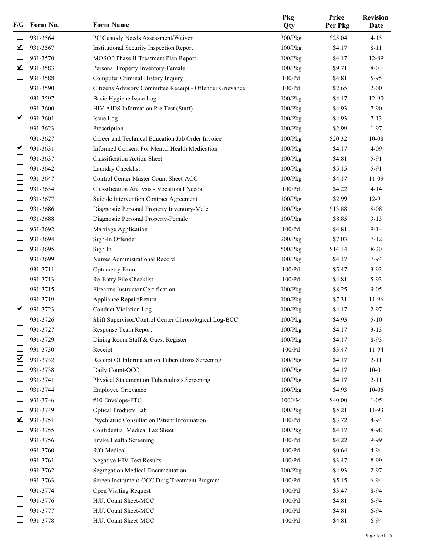| PC Custody Needs Assessment/Waiver<br>931-3564<br>300/Pkg<br>\$25.04<br>$4 - 15$<br>☑<br>931-3567<br>\$4.17<br>Institutional Security Inspection Report<br>100/Pkg<br>$8 - 11$<br>931-3570<br>MOSOP Phase II Treatment Plan Report<br>100/Pkg<br>\$4.17<br>12-89<br>☑<br>931-3583<br>Personal Property Inventory-Female<br>$8 - 03$<br>$100$ / $Pkg$<br>\$9.71<br>L<br>931-3588<br>Computer Criminal History Inquiry<br>\$4.81<br>100/Pd<br>$5-95$<br>931-3590<br>Citizens Advisory Committee Receipt - Offender Grievance<br>100/Pd<br>\$2.65<br>$2 - 00$<br>931-3597<br>Basic Hygiene Issue Log<br>100/Pkg<br>\$4.17<br>12-90<br>931-3600<br>$7 - 90$<br>HIV AIDS Information Pre Test (Staff)<br>100/Pkg<br>\$4.93<br>☑<br>931-3601<br>Issue Log<br>$100$ / $Pkg$<br>\$4.93<br>$7 - 13$<br>Ш<br>931-3623<br>Prescription<br>\$2.99<br>100/Pkg<br>$1-97$<br>931-3627<br>Career and Technical Education Job Order Invoice<br>100/Pkg<br>\$20.32<br>$10 - 08$<br>☑<br>931-3631<br>Informed Consent For Mental Health Medication<br>$4 - 09$<br>100/Pkg<br>\$4.17<br>931-3637<br><b>Classification Action Sheet</b><br>5-91<br>100/Pkg<br>\$4.81<br>931-3642<br>Laundry Checklist<br>5-91<br>100/Pkg<br>\$5.15<br>L<br>931-3647<br>Control Center Master Count Sheet-ACC<br>\$4.17<br>100/Pkg<br>11-09<br>931-3654<br>100/Pd<br>$4 - 14$<br>Classification Analysis - Vocational Needs<br>\$4.22<br>931-3677<br>\$2.99<br>Suicide Intervention Contract Agreement<br>100/Pkg<br>12-91<br>931-3686<br>Diagnostic Personal Property Inventory-Male<br>\$13.88<br>8-08<br>100/Pkg<br>931-3688<br>Diagnostic Personal Property-Female<br>\$8.85<br>$3-13$<br>100/Pkg<br>U<br>931-3692<br>100/Pd<br>\$4.81<br>$9 - 14$<br>Marriage Application<br>931-3694<br>Sign-In Offender<br>\$7.03<br>200/Pkg<br>$7 - 12$<br>931-3695<br>$8/20$<br>Sign In<br>500/Pkg<br>\$14.14<br>931-3699<br>Nurses Administrational Record<br>$100$ / $Pkg$<br>\$4.17<br>$7-94$<br>931-3711<br><b>Optometry Exam</b><br>100/Pd<br>$3-93$<br>\$5.47<br>L<br>931-3713<br>Re-Entry File Checklist<br>100/Pd<br>\$4.81<br>$5-93$<br>931-3715<br>Firearms Instructor Certification<br>\$8.25<br>100/Pkg<br>$9 - 05$<br>931-3719<br>Appliance Repair/Return<br>100/Pkg<br>\$7.31<br>11-96<br>$\overline{\mathbf{v}}$<br>931-3723<br><b>Conduct Violation Log</b><br>100/Pkg<br>\$4.17<br>$2 - 97$<br>931-3726<br>Shift Supervisor/Control Center Chronological Log-BCC<br>100/Pkg<br>\$4.93<br>$5 - 10$<br>931-3727<br>100/Pkg<br>\$4.17<br>$3 - 13$<br>Response Team Report<br>931-3729<br>Dining Room Staff & Guest Register<br>\$4.17<br>8-93<br>$100$ / $Pkg$<br>931-3730<br>100/Pd<br>\$3.47<br>11-94<br>Receipt<br>☑<br>931-3732<br>Receipt Of Information on Tuberculosis Screening<br>\$4.17<br>$2 - 11$<br>$100$ / $Pkg$<br>931-3738<br>Daily Count-OCC<br>\$4.17<br>$10 - 01$<br>100/Pkg<br>L<br>931-3741<br>\$4.17<br>Physical Statement on Tuberculosis Screening<br>100/Pkg<br>$2 - 11$<br>931-3744<br><b>Employee Grievance</b><br>\$4.93<br>10-06<br>$100$ / $Pkg$<br>931-3746<br>#10 Envelope-FTC<br>$1000/M$<br>\$40.00<br>$1 - 05$<br>931-3749<br>Optical Products Lab<br>$100$ / $Pkg$<br>\$5.21<br>11-93<br>⊻<br>931-3751<br>Psychiatric Consultation Patient Information<br>100/Pd<br>\$3.72<br>4-94<br>ப<br>931-3755<br>Confidential Medical Fax Sheet<br>$100$ / $Pkg$<br>\$4.17<br>8-98<br>931-3756<br>$100/Pd$<br>\$4.22<br>9-99<br>Intake Health Screening<br>931-3760<br>R/O Medical<br>\$0.64<br>100/Pd<br>4-94<br>931-3761<br>Negative HIV Test Results<br>$100/Pd$<br>\$3.47<br>8-99<br>931-3762<br>Segregation Medical Documentation<br>100/Pkg<br>\$4.93<br>$2 - 97$<br>L<br>931-3763<br>Screen Instrument-OCC Drug Treatment Program<br>100/Pd<br>\$5.15<br>$6-94$<br>931-3774<br><b>Open Visiting Request</b><br>$100/Pd$<br>\$3.47<br>8-94<br>931-3776<br>H.U. Count Sheet-MCC<br>\$4.81<br>100/Pd<br>$6 - 94$<br>931-3777<br>H.U. Count Sheet-MCC<br>$100/Pd$<br>\$4.81<br>$6 - 94$<br>931-3778<br>H.U. Count Sheet-MCC<br>$100/\mathrm{Pd}$<br>\$4.81<br>$6 - 94$ | F/G | Form No. | <b>Form Name</b> | Pkg<br>Qty | Price<br>Per Pkg | <b>Revision</b><br>Date |
|----------------------------------------------------------------------------------------------------------------------------------------------------------------------------------------------------------------------------------------------------------------------------------------------------------------------------------------------------------------------------------------------------------------------------------------------------------------------------------------------------------------------------------------------------------------------------------------------------------------------------------------------------------------------------------------------------------------------------------------------------------------------------------------------------------------------------------------------------------------------------------------------------------------------------------------------------------------------------------------------------------------------------------------------------------------------------------------------------------------------------------------------------------------------------------------------------------------------------------------------------------------------------------------------------------------------------------------------------------------------------------------------------------------------------------------------------------------------------------------------------------------------------------------------------------------------------------------------------------------------------------------------------------------------------------------------------------------------------------------------------------------------------------------------------------------------------------------------------------------------------------------------------------------------------------------------------------------------------------------------------------------------------------------------------------------------------------------------------------------------------------------------------------------------------------------------------------------------------------------------------------------------------------------------------------------------------------------------------------------------------------------------------------------------------------------------------------------------------------------------------------------------------------------------------------------------------------------------------------------------------------------------------------------------------------------------------------------------------------------------------------------------------------------------------------------------------------------------------------------------------------------------------------------------------------------------------------------------------------------------------------------------------------------------------------------------------------------------------------------------------------------------------------------------------------------------------------------------------------------------------------------------------------------------------------------------------------------------------------------------------------------------------------------------------------------------------------------------------------------------------------------------------------------------------------------------------------------------------------------------------------------------------------------------------------------------------------------------------------------------------------------------------------------------------------------------------------------------------------------------------------------------------------------------------------------------------------------------------------------------------------------------------------------------------------------------|-----|----------|------------------|------------|------------------|-------------------------|
|                                                                                                                                                                                                                                                                                                                                                                                                                                                                                                                                                                                                                                                                                                                                                                                                                                                                                                                                                                                                                                                                                                                                                                                                                                                                                                                                                                                                                                                                                                                                                                                                                                                                                                                                                                                                                                                                                                                                                                                                                                                                                                                                                                                                                                                                                                                                                                                                                                                                                                                                                                                                                                                                                                                                                                                                                                                                                                                                                                                                                                                                                                                                                                                                                                                                                                                                                                                                                                                                                                                                                                                                                                                                                                                                                                                                                                                                                                                                                                                                                                                                      |     |          |                  |            |                  |                         |
|                                                                                                                                                                                                                                                                                                                                                                                                                                                                                                                                                                                                                                                                                                                                                                                                                                                                                                                                                                                                                                                                                                                                                                                                                                                                                                                                                                                                                                                                                                                                                                                                                                                                                                                                                                                                                                                                                                                                                                                                                                                                                                                                                                                                                                                                                                                                                                                                                                                                                                                                                                                                                                                                                                                                                                                                                                                                                                                                                                                                                                                                                                                                                                                                                                                                                                                                                                                                                                                                                                                                                                                                                                                                                                                                                                                                                                                                                                                                                                                                                                                                      |     |          |                  |            |                  |                         |
|                                                                                                                                                                                                                                                                                                                                                                                                                                                                                                                                                                                                                                                                                                                                                                                                                                                                                                                                                                                                                                                                                                                                                                                                                                                                                                                                                                                                                                                                                                                                                                                                                                                                                                                                                                                                                                                                                                                                                                                                                                                                                                                                                                                                                                                                                                                                                                                                                                                                                                                                                                                                                                                                                                                                                                                                                                                                                                                                                                                                                                                                                                                                                                                                                                                                                                                                                                                                                                                                                                                                                                                                                                                                                                                                                                                                                                                                                                                                                                                                                                                                      |     |          |                  |            |                  |                         |
|                                                                                                                                                                                                                                                                                                                                                                                                                                                                                                                                                                                                                                                                                                                                                                                                                                                                                                                                                                                                                                                                                                                                                                                                                                                                                                                                                                                                                                                                                                                                                                                                                                                                                                                                                                                                                                                                                                                                                                                                                                                                                                                                                                                                                                                                                                                                                                                                                                                                                                                                                                                                                                                                                                                                                                                                                                                                                                                                                                                                                                                                                                                                                                                                                                                                                                                                                                                                                                                                                                                                                                                                                                                                                                                                                                                                                                                                                                                                                                                                                                                                      |     |          |                  |            |                  |                         |
|                                                                                                                                                                                                                                                                                                                                                                                                                                                                                                                                                                                                                                                                                                                                                                                                                                                                                                                                                                                                                                                                                                                                                                                                                                                                                                                                                                                                                                                                                                                                                                                                                                                                                                                                                                                                                                                                                                                                                                                                                                                                                                                                                                                                                                                                                                                                                                                                                                                                                                                                                                                                                                                                                                                                                                                                                                                                                                                                                                                                                                                                                                                                                                                                                                                                                                                                                                                                                                                                                                                                                                                                                                                                                                                                                                                                                                                                                                                                                                                                                                                                      |     |          |                  |            |                  |                         |
|                                                                                                                                                                                                                                                                                                                                                                                                                                                                                                                                                                                                                                                                                                                                                                                                                                                                                                                                                                                                                                                                                                                                                                                                                                                                                                                                                                                                                                                                                                                                                                                                                                                                                                                                                                                                                                                                                                                                                                                                                                                                                                                                                                                                                                                                                                                                                                                                                                                                                                                                                                                                                                                                                                                                                                                                                                                                                                                                                                                                                                                                                                                                                                                                                                                                                                                                                                                                                                                                                                                                                                                                                                                                                                                                                                                                                                                                                                                                                                                                                                                                      |     |          |                  |            |                  |                         |
|                                                                                                                                                                                                                                                                                                                                                                                                                                                                                                                                                                                                                                                                                                                                                                                                                                                                                                                                                                                                                                                                                                                                                                                                                                                                                                                                                                                                                                                                                                                                                                                                                                                                                                                                                                                                                                                                                                                                                                                                                                                                                                                                                                                                                                                                                                                                                                                                                                                                                                                                                                                                                                                                                                                                                                                                                                                                                                                                                                                                                                                                                                                                                                                                                                                                                                                                                                                                                                                                                                                                                                                                                                                                                                                                                                                                                                                                                                                                                                                                                                                                      |     |          |                  |            |                  |                         |
|                                                                                                                                                                                                                                                                                                                                                                                                                                                                                                                                                                                                                                                                                                                                                                                                                                                                                                                                                                                                                                                                                                                                                                                                                                                                                                                                                                                                                                                                                                                                                                                                                                                                                                                                                                                                                                                                                                                                                                                                                                                                                                                                                                                                                                                                                                                                                                                                                                                                                                                                                                                                                                                                                                                                                                                                                                                                                                                                                                                                                                                                                                                                                                                                                                                                                                                                                                                                                                                                                                                                                                                                                                                                                                                                                                                                                                                                                                                                                                                                                                                                      |     |          |                  |            |                  |                         |
|                                                                                                                                                                                                                                                                                                                                                                                                                                                                                                                                                                                                                                                                                                                                                                                                                                                                                                                                                                                                                                                                                                                                                                                                                                                                                                                                                                                                                                                                                                                                                                                                                                                                                                                                                                                                                                                                                                                                                                                                                                                                                                                                                                                                                                                                                                                                                                                                                                                                                                                                                                                                                                                                                                                                                                                                                                                                                                                                                                                                                                                                                                                                                                                                                                                                                                                                                                                                                                                                                                                                                                                                                                                                                                                                                                                                                                                                                                                                                                                                                                                                      |     |          |                  |            |                  |                         |
|                                                                                                                                                                                                                                                                                                                                                                                                                                                                                                                                                                                                                                                                                                                                                                                                                                                                                                                                                                                                                                                                                                                                                                                                                                                                                                                                                                                                                                                                                                                                                                                                                                                                                                                                                                                                                                                                                                                                                                                                                                                                                                                                                                                                                                                                                                                                                                                                                                                                                                                                                                                                                                                                                                                                                                                                                                                                                                                                                                                                                                                                                                                                                                                                                                                                                                                                                                                                                                                                                                                                                                                                                                                                                                                                                                                                                                                                                                                                                                                                                                                                      |     |          |                  |            |                  |                         |
|                                                                                                                                                                                                                                                                                                                                                                                                                                                                                                                                                                                                                                                                                                                                                                                                                                                                                                                                                                                                                                                                                                                                                                                                                                                                                                                                                                                                                                                                                                                                                                                                                                                                                                                                                                                                                                                                                                                                                                                                                                                                                                                                                                                                                                                                                                                                                                                                                                                                                                                                                                                                                                                                                                                                                                                                                                                                                                                                                                                                                                                                                                                                                                                                                                                                                                                                                                                                                                                                                                                                                                                                                                                                                                                                                                                                                                                                                                                                                                                                                                                                      |     |          |                  |            |                  |                         |
|                                                                                                                                                                                                                                                                                                                                                                                                                                                                                                                                                                                                                                                                                                                                                                                                                                                                                                                                                                                                                                                                                                                                                                                                                                                                                                                                                                                                                                                                                                                                                                                                                                                                                                                                                                                                                                                                                                                                                                                                                                                                                                                                                                                                                                                                                                                                                                                                                                                                                                                                                                                                                                                                                                                                                                                                                                                                                                                                                                                                                                                                                                                                                                                                                                                                                                                                                                                                                                                                                                                                                                                                                                                                                                                                                                                                                                                                                                                                                                                                                                                                      |     |          |                  |            |                  |                         |
|                                                                                                                                                                                                                                                                                                                                                                                                                                                                                                                                                                                                                                                                                                                                                                                                                                                                                                                                                                                                                                                                                                                                                                                                                                                                                                                                                                                                                                                                                                                                                                                                                                                                                                                                                                                                                                                                                                                                                                                                                                                                                                                                                                                                                                                                                                                                                                                                                                                                                                                                                                                                                                                                                                                                                                                                                                                                                                                                                                                                                                                                                                                                                                                                                                                                                                                                                                                                                                                                                                                                                                                                                                                                                                                                                                                                                                                                                                                                                                                                                                                                      |     |          |                  |            |                  |                         |
|                                                                                                                                                                                                                                                                                                                                                                                                                                                                                                                                                                                                                                                                                                                                                                                                                                                                                                                                                                                                                                                                                                                                                                                                                                                                                                                                                                                                                                                                                                                                                                                                                                                                                                                                                                                                                                                                                                                                                                                                                                                                                                                                                                                                                                                                                                                                                                                                                                                                                                                                                                                                                                                                                                                                                                                                                                                                                                                                                                                                                                                                                                                                                                                                                                                                                                                                                                                                                                                                                                                                                                                                                                                                                                                                                                                                                                                                                                                                                                                                                                                                      |     |          |                  |            |                  |                         |
|                                                                                                                                                                                                                                                                                                                                                                                                                                                                                                                                                                                                                                                                                                                                                                                                                                                                                                                                                                                                                                                                                                                                                                                                                                                                                                                                                                                                                                                                                                                                                                                                                                                                                                                                                                                                                                                                                                                                                                                                                                                                                                                                                                                                                                                                                                                                                                                                                                                                                                                                                                                                                                                                                                                                                                                                                                                                                                                                                                                                                                                                                                                                                                                                                                                                                                                                                                                                                                                                                                                                                                                                                                                                                                                                                                                                                                                                                                                                                                                                                                                                      |     |          |                  |            |                  |                         |
|                                                                                                                                                                                                                                                                                                                                                                                                                                                                                                                                                                                                                                                                                                                                                                                                                                                                                                                                                                                                                                                                                                                                                                                                                                                                                                                                                                                                                                                                                                                                                                                                                                                                                                                                                                                                                                                                                                                                                                                                                                                                                                                                                                                                                                                                                                                                                                                                                                                                                                                                                                                                                                                                                                                                                                                                                                                                                                                                                                                                                                                                                                                                                                                                                                                                                                                                                                                                                                                                                                                                                                                                                                                                                                                                                                                                                                                                                                                                                                                                                                                                      |     |          |                  |            |                  |                         |
|                                                                                                                                                                                                                                                                                                                                                                                                                                                                                                                                                                                                                                                                                                                                                                                                                                                                                                                                                                                                                                                                                                                                                                                                                                                                                                                                                                                                                                                                                                                                                                                                                                                                                                                                                                                                                                                                                                                                                                                                                                                                                                                                                                                                                                                                                                                                                                                                                                                                                                                                                                                                                                                                                                                                                                                                                                                                                                                                                                                                                                                                                                                                                                                                                                                                                                                                                                                                                                                                                                                                                                                                                                                                                                                                                                                                                                                                                                                                                                                                                                                                      |     |          |                  |            |                  |                         |
|                                                                                                                                                                                                                                                                                                                                                                                                                                                                                                                                                                                                                                                                                                                                                                                                                                                                                                                                                                                                                                                                                                                                                                                                                                                                                                                                                                                                                                                                                                                                                                                                                                                                                                                                                                                                                                                                                                                                                                                                                                                                                                                                                                                                                                                                                                                                                                                                                                                                                                                                                                                                                                                                                                                                                                                                                                                                                                                                                                                                                                                                                                                                                                                                                                                                                                                                                                                                                                                                                                                                                                                                                                                                                                                                                                                                                                                                                                                                                                                                                                                                      |     |          |                  |            |                  |                         |
|                                                                                                                                                                                                                                                                                                                                                                                                                                                                                                                                                                                                                                                                                                                                                                                                                                                                                                                                                                                                                                                                                                                                                                                                                                                                                                                                                                                                                                                                                                                                                                                                                                                                                                                                                                                                                                                                                                                                                                                                                                                                                                                                                                                                                                                                                                                                                                                                                                                                                                                                                                                                                                                                                                                                                                                                                                                                                                                                                                                                                                                                                                                                                                                                                                                                                                                                                                                                                                                                                                                                                                                                                                                                                                                                                                                                                                                                                                                                                                                                                                                                      |     |          |                  |            |                  |                         |
|                                                                                                                                                                                                                                                                                                                                                                                                                                                                                                                                                                                                                                                                                                                                                                                                                                                                                                                                                                                                                                                                                                                                                                                                                                                                                                                                                                                                                                                                                                                                                                                                                                                                                                                                                                                                                                                                                                                                                                                                                                                                                                                                                                                                                                                                                                                                                                                                                                                                                                                                                                                                                                                                                                                                                                                                                                                                                                                                                                                                                                                                                                                                                                                                                                                                                                                                                                                                                                                                                                                                                                                                                                                                                                                                                                                                                                                                                                                                                                                                                                                                      |     |          |                  |            |                  |                         |
|                                                                                                                                                                                                                                                                                                                                                                                                                                                                                                                                                                                                                                                                                                                                                                                                                                                                                                                                                                                                                                                                                                                                                                                                                                                                                                                                                                                                                                                                                                                                                                                                                                                                                                                                                                                                                                                                                                                                                                                                                                                                                                                                                                                                                                                                                                                                                                                                                                                                                                                                                                                                                                                                                                                                                                                                                                                                                                                                                                                                                                                                                                                                                                                                                                                                                                                                                                                                                                                                                                                                                                                                                                                                                                                                                                                                                                                                                                                                                                                                                                                                      |     |          |                  |            |                  |                         |
|                                                                                                                                                                                                                                                                                                                                                                                                                                                                                                                                                                                                                                                                                                                                                                                                                                                                                                                                                                                                                                                                                                                                                                                                                                                                                                                                                                                                                                                                                                                                                                                                                                                                                                                                                                                                                                                                                                                                                                                                                                                                                                                                                                                                                                                                                                                                                                                                                                                                                                                                                                                                                                                                                                                                                                                                                                                                                                                                                                                                                                                                                                                                                                                                                                                                                                                                                                                                                                                                                                                                                                                                                                                                                                                                                                                                                                                                                                                                                                                                                                                                      |     |          |                  |            |                  |                         |
|                                                                                                                                                                                                                                                                                                                                                                                                                                                                                                                                                                                                                                                                                                                                                                                                                                                                                                                                                                                                                                                                                                                                                                                                                                                                                                                                                                                                                                                                                                                                                                                                                                                                                                                                                                                                                                                                                                                                                                                                                                                                                                                                                                                                                                                                                                                                                                                                                                                                                                                                                                                                                                                                                                                                                                                                                                                                                                                                                                                                                                                                                                                                                                                                                                                                                                                                                                                                                                                                                                                                                                                                                                                                                                                                                                                                                                                                                                                                                                                                                                                                      |     |          |                  |            |                  |                         |
|                                                                                                                                                                                                                                                                                                                                                                                                                                                                                                                                                                                                                                                                                                                                                                                                                                                                                                                                                                                                                                                                                                                                                                                                                                                                                                                                                                                                                                                                                                                                                                                                                                                                                                                                                                                                                                                                                                                                                                                                                                                                                                                                                                                                                                                                                                                                                                                                                                                                                                                                                                                                                                                                                                                                                                                                                                                                                                                                                                                                                                                                                                                                                                                                                                                                                                                                                                                                                                                                                                                                                                                                                                                                                                                                                                                                                                                                                                                                                                                                                                                                      |     |          |                  |            |                  |                         |
|                                                                                                                                                                                                                                                                                                                                                                                                                                                                                                                                                                                                                                                                                                                                                                                                                                                                                                                                                                                                                                                                                                                                                                                                                                                                                                                                                                                                                                                                                                                                                                                                                                                                                                                                                                                                                                                                                                                                                                                                                                                                                                                                                                                                                                                                                                                                                                                                                                                                                                                                                                                                                                                                                                                                                                                                                                                                                                                                                                                                                                                                                                                                                                                                                                                                                                                                                                                                                                                                                                                                                                                                                                                                                                                                                                                                                                                                                                                                                                                                                                                                      |     |          |                  |            |                  |                         |
|                                                                                                                                                                                                                                                                                                                                                                                                                                                                                                                                                                                                                                                                                                                                                                                                                                                                                                                                                                                                                                                                                                                                                                                                                                                                                                                                                                                                                                                                                                                                                                                                                                                                                                                                                                                                                                                                                                                                                                                                                                                                                                                                                                                                                                                                                                                                                                                                                                                                                                                                                                                                                                                                                                                                                                                                                                                                                                                                                                                                                                                                                                                                                                                                                                                                                                                                                                                                                                                                                                                                                                                                                                                                                                                                                                                                                                                                                                                                                                                                                                                                      |     |          |                  |            |                  |                         |
|                                                                                                                                                                                                                                                                                                                                                                                                                                                                                                                                                                                                                                                                                                                                                                                                                                                                                                                                                                                                                                                                                                                                                                                                                                                                                                                                                                                                                                                                                                                                                                                                                                                                                                                                                                                                                                                                                                                                                                                                                                                                                                                                                                                                                                                                                                                                                                                                                                                                                                                                                                                                                                                                                                                                                                                                                                                                                                                                                                                                                                                                                                                                                                                                                                                                                                                                                                                                                                                                                                                                                                                                                                                                                                                                                                                                                                                                                                                                                                                                                                                                      |     |          |                  |            |                  |                         |
|                                                                                                                                                                                                                                                                                                                                                                                                                                                                                                                                                                                                                                                                                                                                                                                                                                                                                                                                                                                                                                                                                                                                                                                                                                                                                                                                                                                                                                                                                                                                                                                                                                                                                                                                                                                                                                                                                                                                                                                                                                                                                                                                                                                                                                                                                                                                                                                                                                                                                                                                                                                                                                                                                                                                                                                                                                                                                                                                                                                                                                                                                                                                                                                                                                                                                                                                                                                                                                                                                                                                                                                                                                                                                                                                                                                                                                                                                                                                                                                                                                                                      |     |          |                  |            |                  |                         |
|                                                                                                                                                                                                                                                                                                                                                                                                                                                                                                                                                                                                                                                                                                                                                                                                                                                                                                                                                                                                                                                                                                                                                                                                                                                                                                                                                                                                                                                                                                                                                                                                                                                                                                                                                                                                                                                                                                                                                                                                                                                                                                                                                                                                                                                                                                                                                                                                                                                                                                                                                                                                                                                                                                                                                                                                                                                                                                                                                                                                                                                                                                                                                                                                                                                                                                                                                                                                                                                                                                                                                                                                                                                                                                                                                                                                                                                                                                                                                                                                                                                                      |     |          |                  |            |                  |                         |
|                                                                                                                                                                                                                                                                                                                                                                                                                                                                                                                                                                                                                                                                                                                                                                                                                                                                                                                                                                                                                                                                                                                                                                                                                                                                                                                                                                                                                                                                                                                                                                                                                                                                                                                                                                                                                                                                                                                                                                                                                                                                                                                                                                                                                                                                                                                                                                                                                                                                                                                                                                                                                                                                                                                                                                                                                                                                                                                                                                                                                                                                                                                                                                                                                                                                                                                                                                                                                                                                                                                                                                                                                                                                                                                                                                                                                                                                                                                                                                                                                                                                      |     |          |                  |            |                  |                         |
|                                                                                                                                                                                                                                                                                                                                                                                                                                                                                                                                                                                                                                                                                                                                                                                                                                                                                                                                                                                                                                                                                                                                                                                                                                                                                                                                                                                                                                                                                                                                                                                                                                                                                                                                                                                                                                                                                                                                                                                                                                                                                                                                                                                                                                                                                                                                                                                                                                                                                                                                                                                                                                                                                                                                                                                                                                                                                                                                                                                                                                                                                                                                                                                                                                                                                                                                                                                                                                                                                                                                                                                                                                                                                                                                                                                                                                                                                                                                                                                                                                                                      |     |          |                  |            |                  |                         |
|                                                                                                                                                                                                                                                                                                                                                                                                                                                                                                                                                                                                                                                                                                                                                                                                                                                                                                                                                                                                                                                                                                                                                                                                                                                                                                                                                                                                                                                                                                                                                                                                                                                                                                                                                                                                                                                                                                                                                                                                                                                                                                                                                                                                                                                                                                                                                                                                                                                                                                                                                                                                                                                                                                                                                                                                                                                                                                                                                                                                                                                                                                                                                                                                                                                                                                                                                                                                                                                                                                                                                                                                                                                                                                                                                                                                                                                                                                                                                                                                                                                                      |     |          |                  |            |                  |                         |
|                                                                                                                                                                                                                                                                                                                                                                                                                                                                                                                                                                                                                                                                                                                                                                                                                                                                                                                                                                                                                                                                                                                                                                                                                                                                                                                                                                                                                                                                                                                                                                                                                                                                                                                                                                                                                                                                                                                                                                                                                                                                                                                                                                                                                                                                                                                                                                                                                                                                                                                                                                                                                                                                                                                                                                                                                                                                                                                                                                                                                                                                                                                                                                                                                                                                                                                                                                                                                                                                                                                                                                                                                                                                                                                                                                                                                                                                                                                                                                                                                                                                      |     |          |                  |            |                  |                         |
|                                                                                                                                                                                                                                                                                                                                                                                                                                                                                                                                                                                                                                                                                                                                                                                                                                                                                                                                                                                                                                                                                                                                                                                                                                                                                                                                                                                                                                                                                                                                                                                                                                                                                                                                                                                                                                                                                                                                                                                                                                                                                                                                                                                                                                                                                                                                                                                                                                                                                                                                                                                                                                                                                                                                                                                                                                                                                                                                                                                                                                                                                                                                                                                                                                                                                                                                                                                                                                                                                                                                                                                                                                                                                                                                                                                                                                                                                                                                                                                                                                                                      |     |          |                  |            |                  |                         |
|                                                                                                                                                                                                                                                                                                                                                                                                                                                                                                                                                                                                                                                                                                                                                                                                                                                                                                                                                                                                                                                                                                                                                                                                                                                                                                                                                                                                                                                                                                                                                                                                                                                                                                                                                                                                                                                                                                                                                                                                                                                                                                                                                                                                                                                                                                                                                                                                                                                                                                                                                                                                                                                                                                                                                                                                                                                                                                                                                                                                                                                                                                                                                                                                                                                                                                                                                                                                                                                                                                                                                                                                                                                                                                                                                                                                                                                                                                                                                                                                                                                                      |     |          |                  |            |                  |                         |
|                                                                                                                                                                                                                                                                                                                                                                                                                                                                                                                                                                                                                                                                                                                                                                                                                                                                                                                                                                                                                                                                                                                                                                                                                                                                                                                                                                                                                                                                                                                                                                                                                                                                                                                                                                                                                                                                                                                                                                                                                                                                                                                                                                                                                                                                                                                                                                                                                                                                                                                                                                                                                                                                                                                                                                                                                                                                                                                                                                                                                                                                                                                                                                                                                                                                                                                                                                                                                                                                                                                                                                                                                                                                                                                                                                                                                                                                                                                                                                                                                                                                      |     |          |                  |            |                  |                         |
|                                                                                                                                                                                                                                                                                                                                                                                                                                                                                                                                                                                                                                                                                                                                                                                                                                                                                                                                                                                                                                                                                                                                                                                                                                                                                                                                                                                                                                                                                                                                                                                                                                                                                                                                                                                                                                                                                                                                                                                                                                                                                                                                                                                                                                                                                                                                                                                                                                                                                                                                                                                                                                                                                                                                                                                                                                                                                                                                                                                                                                                                                                                                                                                                                                                                                                                                                                                                                                                                                                                                                                                                                                                                                                                                                                                                                                                                                                                                                                                                                                                                      |     |          |                  |            |                  |                         |
|                                                                                                                                                                                                                                                                                                                                                                                                                                                                                                                                                                                                                                                                                                                                                                                                                                                                                                                                                                                                                                                                                                                                                                                                                                                                                                                                                                                                                                                                                                                                                                                                                                                                                                                                                                                                                                                                                                                                                                                                                                                                                                                                                                                                                                                                                                                                                                                                                                                                                                                                                                                                                                                                                                                                                                                                                                                                                                                                                                                                                                                                                                                                                                                                                                                                                                                                                                                                                                                                                                                                                                                                                                                                                                                                                                                                                                                                                                                                                                                                                                                                      |     |          |                  |            |                  |                         |
|                                                                                                                                                                                                                                                                                                                                                                                                                                                                                                                                                                                                                                                                                                                                                                                                                                                                                                                                                                                                                                                                                                                                                                                                                                                                                                                                                                                                                                                                                                                                                                                                                                                                                                                                                                                                                                                                                                                                                                                                                                                                                                                                                                                                                                                                                                                                                                                                                                                                                                                                                                                                                                                                                                                                                                                                                                                                                                                                                                                                                                                                                                                                                                                                                                                                                                                                                                                                                                                                                                                                                                                                                                                                                                                                                                                                                                                                                                                                                                                                                                                                      |     |          |                  |            |                  |                         |
|                                                                                                                                                                                                                                                                                                                                                                                                                                                                                                                                                                                                                                                                                                                                                                                                                                                                                                                                                                                                                                                                                                                                                                                                                                                                                                                                                                                                                                                                                                                                                                                                                                                                                                                                                                                                                                                                                                                                                                                                                                                                                                                                                                                                                                                                                                                                                                                                                                                                                                                                                                                                                                                                                                                                                                                                                                                                                                                                                                                                                                                                                                                                                                                                                                                                                                                                                                                                                                                                                                                                                                                                                                                                                                                                                                                                                                                                                                                                                                                                                                                                      |     |          |                  |            |                  |                         |
|                                                                                                                                                                                                                                                                                                                                                                                                                                                                                                                                                                                                                                                                                                                                                                                                                                                                                                                                                                                                                                                                                                                                                                                                                                                                                                                                                                                                                                                                                                                                                                                                                                                                                                                                                                                                                                                                                                                                                                                                                                                                                                                                                                                                                                                                                                                                                                                                                                                                                                                                                                                                                                                                                                                                                                                                                                                                                                                                                                                                                                                                                                                                                                                                                                                                                                                                                                                                                                                                                                                                                                                                                                                                                                                                                                                                                                                                                                                                                                                                                                                                      |     |          |                  |            |                  |                         |
|                                                                                                                                                                                                                                                                                                                                                                                                                                                                                                                                                                                                                                                                                                                                                                                                                                                                                                                                                                                                                                                                                                                                                                                                                                                                                                                                                                                                                                                                                                                                                                                                                                                                                                                                                                                                                                                                                                                                                                                                                                                                                                                                                                                                                                                                                                                                                                                                                                                                                                                                                                                                                                                                                                                                                                                                                                                                                                                                                                                                                                                                                                                                                                                                                                                                                                                                                                                                                                                                                                                                                                                                                                                                                                                                                                                                                                                                                                                                                                                                                                                                      |     |          |                  |            |                  |                         |
|                                                                                                                                                                                                                                                                                                                                                                                                                                                                                                                                                                                                                                                                                                                                                                                                                                                                                                                                                                                                                                                                                                                                                                                                                                                                                                                                                                                                                                                                                                                                                                                                                                                                                                                                                                                                                                                                                                                                                                                                                                                                                                                                                                                                                                                                                                                                                                                                                                                                                                                                                                                                                                                                                                                                                                                                                                                                                                                                                                                                                                                                                                                                                                                                                                                                                                                                                                                                                                                                                                                                                                                                                                                                                                                                                                                                                                                                                                                                                                                                                                                                      |     |          |                  |            |                  |                         |
|                                                                                                                                                                                                                                                                                                                                                                                                                                                                                                                                                                                                                                                                                                                                                                                                                                                                                                                                                                                                                                                                                                                                                                                                                                                                                                                                                                                                                                                                                                                                                                                                                                                                                                                                                                                                                                                                                                                                                                                                                                                                                                                                                                                                                                                                                                                                                                                                                                                                                                                                                                                                                                                                                                                                                                                                                                                                                                                                                                                                                                                                                                                                                                                                                                                                                                                                                                                                                                                                                                                                                                                                                                                                                                                                                                                                                                                                                                                                                                                                                                                                      |     |          |                  |            |                  |                         |
|                                                                                                                                                                                                                                                                                                                                                                                                                                                                                                                                                                                                                                                                                                                                                                                                                                                                                                                                                                                                                                                                                                                                                                                                                                                                                                                                                                                                                                                                                                                                                                                                                                                                                                                                                                                                                                                                                                                                                                                                                                                                                                                                                                                                                                                                                                                                                                                                                                                                                                                                                                                                                                                                                                                                                                                                                                                                                                                                                                                                                                                                                                                                                                                                                                                                                                                                                                                                                                                                                                                                                                                                                                                                                                                                                                                                                                                                                                                                                                                                                                                                      |     |          |                  |            |                  |                         |
|                                                                                                                                                                                                                                                                                                                                                                                                                                                                                                                                                                                                                                                                                                                                                                                                                                                                                                                                                                                                                                                                                                                                                                                                                                                                                                                                                                                                                                                                                                                                                                                                                                                                                                                                                                                                                                                                                                                                                                                                                                                                                                                                                                                                                                                                                                                                                                                                                                                                                                                                                                                                                                                                                                                                                                                                                                                                                                                                                                                                                                                                                                                                                                                                                                                                                                                                                                                                                                                                                                                                                                                                                                                                                                                                                                                                                                                                                                                                                                                                                                                                      |     |          |                  |            |                  |                         |
|                                                                                                                                                                                                                                                                                                                                                                                                                                                                                                                                                                                                                                                                                                                                                                                                                                                                                                                                                                                                                                                                                                                                                                                                                                                                                                                                                                                                                                                                                                                                                                                                                                                                                                                                                                                                                                                                                                                                                                                                                                                                                                                                                                                                                                                                                                                                                                                                                                                                                                                                                                                                                                                                                                                                                                                                                                                                                                                                                                                                                                                                                                                                                                                                                                                                                                                                                                                                                                                                                                                                                                                                                                                                                                                                                                                                                                                                                                                                                                                                                                                                      |     |          |                  |            |                  |                         |
|                                                                                                                                                                                                                                                                                                                                                                                                                                                                                                                                                                                                                                                                                                                                                                                                                                                                                                                                                                                                                                                                                                                                                                                                                                                                                                                                                                                                                                                                                                                                                                                                                                                                                                                                                                                                                                                                                                                                                                                                                                                                                                                                                                                                                                                                                                                                                                                                                                                                                                                                                                                                                                                                                                                                                                                                                                                                                                                                                                                                                                                                                                                                                                                                                                                                                                                                                                                                                                                                                                                                                                                                                                                                                                                                                                                                                                                                                                                                                                                                                                                                      |     |          |                  |            |                  |                         |
|                                                                                                                                                                                                                                                                                                                                                                                                                                                                                                                                                                                                                                                                                                                                                                                                                                                                                                                                                                                                                                                                                                                                                                                                                                                                                                                                                                                                                                                                                                                                                                                                                                                                                                                                                                                                                                                                                                                                                                                                                                                                                                                                                                                                                                                                                                                                                                                                                                                                                                                                                                                                                                                                                                                                                                                                                                                                                                                                                                                                                                                                                                                                                                                                                                                                                                                                                                                                                                                                                                                                                                                                                                                                                                                                                                                                                                                                                                                                                                                                                                                                      |     |          |                  |            |                  |                         |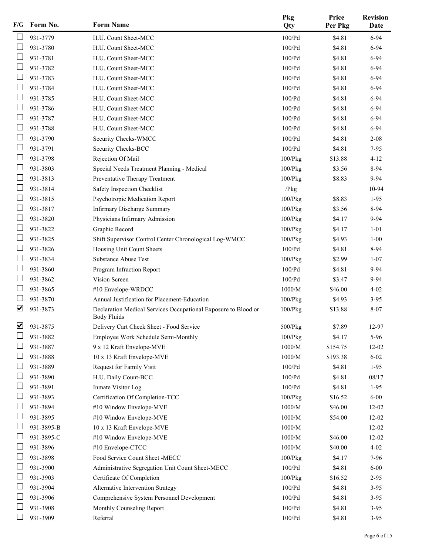| F/G                      | Form No.   | <b>Form Name</b>                                               | Pkg<br>Qty    | Price<br>Per Pkg | <b>Revision</b><br>Date |
|--------------------------|------------|----------------------------------------------------------------|---------------|------------------|-------------------------|
|                          | 931-3779   | H.U. Count Sheet-MCC                                           | 100/Pd        | \$4.81           | $6 - 94$                |
|                          | 931-3780   | H.U. Count Sheet-MCC                                           | 100/Pd        | \$4.81           | $6 - 94$                |
|                          | 931-3781   | H.U. Count Sheet-MCC                                           | 100/Pd        | \$4.81           | $6 - 94$                |
|                          | 931-3782   | H.U. Count Sheet-MCC                                           | 100/Pd        | \$4.81           | $6 - 94$                |
| П                        | 931-3783   | H.U. Count Sheet-MCC                                           | 100/Pd        | \$4.81           | $6 - 94$                |
|                          | 931-3784   | H.U. Count Sheet-MCC                                           | 100/Pd        | \$4.81           | 6-94                    |
|                          | 931-3785   | H.U. Count Sheet-MCC                                           | 100/Pd        | \$4.81           | $6 - 94$                |
|                          | 931-3786   | H.U. Count Sheet-MCC                                           | 100/Pd        | \$4.81           | $6 - 94$                |
|                          | 931-3787   | H.U. Count Sheet-MCC                                           | 100/Pd        | \$4.81           | $6 - 94$                |
| $\Box$                   | 931-3788   | H.U. Count Sheet-MCC                                           | 100/Pd        | \$4.81           | $6 - 94$                |
|                          | 931-3790   | Security Checks-WMCC                                           | 100/Pd        | \$4.81           | $2 - 08$                |
| $\overline{\phantom{a}}$ | 931-3791   | Security Checks-BCC                                            | 100/Pd        | \$4.81           | $7-95$                  |
|                          | 931-3798   | Rejection Of Mail                                              | $100$ / $Pkg$ | \$13.88          | $4 - 12$                |
|                          | 931-3803   | Special Needs Treatment Planning - Medical                     | 100/Pkg       | \$3.56           | 8-94                    |
| $\mathbf{L}$             | 931-3813   | Preventative Therapy Treatment                                 | $100$ / $Pkg$ | \$8.83           | 9-94                    |
|                          | 931-3814   | Safety Inspection Checklist                                    | /Pkg          |                  | 10-94                   |
| ∟                        | 931-3815   | Psychotropic Medication Report                                 | 100/Pkg       | \$8.83           | $1-95$                  |
|                          | 931-3817   | Infirmary Discharge Summary                                    | $100$ / $Pkg$ | \$3.56           | 8-94                    |
|                          | 931-3820   | Physicians Infirmary Admission                                 | 100/Pkg       | \$4.17           | $9 - 94$                |
| $\Box$                   | 931-3822   | Graphic Record                                                 | $100$ / $Pkg$ | \$4.17           | $1 - 01$                |
|                          | 931-3825   | Shift Supervisor Control Center Chronological Log-WMCC         | $100$ / $Pkg$ | \$4.93           | $1 - 00$                |
|                          | 931-3826   | Housing Unit Count Sheets                                      | 100/Pd        | \$4.81           | 8-94                    |
|                          | 931-3834   | Substance Abuse Test                                           | $100$ / $Pkg$ | \$2.99           | $1 - 07$                |
|                          | 931-3860   | Program Infraction Report                                      | 100/Pd        | \$4.81           | 9-94                    |
| L                        | 931-3862   | Vision Screen                                                  | 100/Pd        | \$3.47           | $9 - 94$                |
|                          | 931-3865   | #10 Envelope-WRDCC                                             | 1000/M        | \$46.00          | $4 - 02$                |
|                          | 931-3870   | Annual Justification for Placement-Education                   | 100/Pkg       | \$4.93           | $3 - 95$                |
| $\overline{\mathbf{v}}$  | 931-3873   | Declaration Medical Services Occupational Exposure to Blood or | $100$ / $Pkg$ | \$13.88          | $8 - 07$                |
|                          |            | Body Fluids                                                    |               |                  |                         |
| $\overline{\mathbf{v}}$  | 931-3875   | Delivery Cart Check Sheet - Food Service                       | 500/Pkg       | \$7.89           | 12-97                   |
|                          | 931-3882   | Employee Work Schedule Semi-Monthly                            | 100/Pkg       | \$4.17           | 5-96                    |
|                          | 931-3887   | 9 x 12 Kraft Envelope-MVE                                      | $1000/M$      | \$154.75         | 12-02                   |
|                          | 931-3888   | 10 x 13 Kraft Envelope-MVE                                     | $1000/M$      | \$193.38         | $6 - 02$                |
|                          | 931-3889   | Request for Family Visit                                       | 100/Pd        | \$4.81           | $1-95$                  |
|                          | 931-3890   | H.U. Daily Count-BCC                                           | 100/Pd        | \$4.81           | 08/17                   |
|                          | 931-3891   | Inmate Visitor Log                                             | 100/Pd        | \$4.81           | $1-95$                  |
|                          | 931-3893   | Certification Of Completion-TCC                                | $100$ / $Pkg$ | \$16.52          | $6 - 00$                |
|                          | 931-3894   | #10 Window Envelope-MVE                                        | 1000/M        | \$46.00          | $12 - 02$               |
| ப                        | 931-3895   | #10 Window Envelope-MVE                                        | 1000/M        | \$54.00          | $12 - 02$               |
|                          | 931-3895-B | 10 x 13 Kraft Envelope-MVE                                     | $1000/M$      |                  | $12 - 02$               |
|                          | 931-3895-C | #10 Window Envelope-MVE                                        | 1000/M        | \$46.00          | $12 - 02$               |
|                          | 931-3896   | #10 Envelope-CTCC                                              | $1000/M$      | \$40.00          | $4 - 02$                |
|                          | 931-3898   | Food Service Count Sheet -MECC                                 | $100$ / $Pkg$ | \$4.17           | 7-96                    |
|                          | 931-3900   | Administrative Segregation Unit Count Sheet-MECC               | 100/Pd        | \$4.81           | $6 - 00$                |
|                          | 931-3903   | Certificate Of Completion                                      | $100$ / $Pkg$ | \$16.52          | $2 - 95$                |
|                          | 931-3904   | Alternative Intervention Strategy                              | 100/Pd        | \$4.81           | $3-95$                  |
|                          | 931-3906   | Comprehensive System Personnel Development                     | 100/Pd        | \$4.81           | $3-95$                  |
|                          | 931-3908   | Monthly Counseling Report                                      | 100/Pd        | \$4.81           | $3-95$                  |
|                          | 931-3909   | Referral                                                       | 100/Pd        | \$4.81           | $3 - 95$                |
|                          |            |                                                                |               |                  |                         |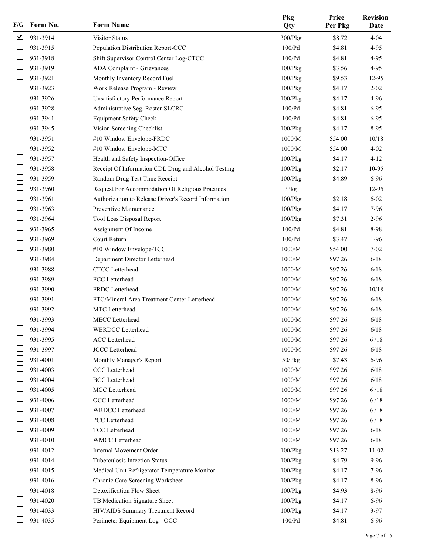| F/G | Form No. | <b>Form Name</b>                                     | Pkg<br>Qty    | Price<br>Per Pkg | <b>Revision</b><br><b>Date</b> |
|-----|----------|------------------------------------------------------|---------------|------------------|--------------------------------|
| ⊻   | 931-3914 | Visitor Status                                       | 300/Pkg       | \$8.72           | $4 - 04$                       |
|     | 931-3915 | Population Distribution Report-CCC                   | 100/Pd        | \$4.81           | $4-95$                         |
|     | 931-3918 | Shift Supervisor Control Center Log-CTCC             | 100/Pd        | \$4.81           | $4-95$                         |
|     | 931-3919 | ADA Complaint - Grievances                           | $100$ / $Pkg$ | \$3.56           | $4 - 95$                       |
|     | 931-3921 | Monthly Inventory Record Fuel                        | 100/Pkg       | \$9.53           | 12-95                          |
|     | 931-3923 | Work Release Program - Review                        | $100$ / $Pkg$ | \$4.17           | $2 - 02$                       |
|     | 931-3926 | <b>Unsatisfactory Performance Report</b>             | 100/Pkg       | \$4.17           | 4-96                           |
|     | 931-3928 | Administrative Seg. Roster-SLCRC                     | 100/Pd        | \$4.81           | $6 - 95$                       |
|     | 931-3941 | <b>Equipment Safety Check</b>                        | 100/Pd        | \$4.81           | $6 - 95$                       |
|     | 931-3945 | Vision Screening Checklist                           | 100/Pkg       | \$4.17           | $8-95$                         |
|     | 931-3951 | #10 Window Envelope-FRDC                             | 1000/M        | \$54.00          | 10/18                          |
|     | 931-3952 | #10 Window Envelope-MTC                              | 1000/M        | \$54.00          | $4 - 02$                       |
|     | 931-3957 | Health and Safety Inspection-Office                  | 100/Pkg       | \$4.17           | $4 - 12$                       |
|     | 931-3958 | Receipt Of Information CDL Drug and Alcohol Testing  | $100$ / $Pkg$ | \$2.17           | 10-95                          |
|     | 931-3959 | Random Drug Test Time Receipt                        | 100/Pkg       | \$4.89           | 6-96                           |
|     | 931-3960 | Request For Accommodation Of Religious Practices     | /Pkg          |                  | 12-95                          |
|     | 931-3961 | Authorization to Release Driver's Record Information | $100$ / $Pkg$ | \$2.18           | $6 - 02$                       |
|     | 931-3963 | Preventive Maintenance                               | 100/Pkg       | \$4.17           | 7-96                           |
|     | 931-3964 | Tool Loss Disposal Report                            | 100/Pkg       | \$7.31           | $2 - 96$                       |
|     | 931-3965 | Assignment Of Income                                 | 100/Pd        | \$4.81           | 8-98                           |
|     | 931-3969 | Court Return                                         | 100/Pd        | \$3.47           | $1-96$                         |
|     | 931-3980 | #10 Window Envelope-TCC                              | 1000/M        | \$54.00          | $7 - 02$                       |
|     | 931-3984 | Department Director Letterhead                       | 1000/M        | \$97.26          | 6/18                           |
|     | 931-3988 | CTCC Letterhead                                      | 1000/M        | \$97.26          | 6/18                           |
|     | 931-3989 | FCC Letterhead                                       | 1000/M        | \$97.26          | 6/18                           |
|     | 931-3990 | FRDC Letterhead                                      | 1000/M        | \$97.26          | 10/18                          |
|     | 931-3991 | FTC/Mineral Area Treatment Center Letterhead         | 1000/M        | \$97.26          | 6/18                           |
|     | 931-3992 | MTC Letterhead                                       | 1000/M        | \$97.26          | 6/18                           |
|     | 931-3993 | MECC Letterhead                                      | 1000/M        | \$97.26          | 6/18                           |
|     | 931-3994 | WERDCC Letterhead                                    | $1000/M$      | \$97.26          | 6/18                           |
|     | 931-3995 | <b>ACC</b> Letterhead                                | 1000/M        | \$97.26          | 6/18                           |
|     | 931-3997 | JCCC Letterhead                                      | 1000/M        | \$97.26          | $6/18$                         |
|     | 931-4001 | Monthly Manager's Report                             | $50$ / $Pkg$  | \$7.43           | 6-96                           |
|     | 931-4003 | CCC Letterhead                                       | $1000/M$      | \$97.26          | $6/18$                         |
|     | 931-4004 | <b>BCC</b> Letterhead                                | 1000/M        | \$97.26          | 6/18                           |
|     | 931-4005 | MCC Letterhead                                       | $1000/M$      | \$97.26          | 6/18                           |
|     | 931-4006 | OCC Letterhead                                       | 1000/M        | \$97.26          | 6/18                           |
|     | 931-4007 | <b>WRDCC</b> Letterhead                              | $1000/M$      | \$97.26          | 6/18                           |
|     | 931-4008 | PCC Letterhead                                       | $1000/M$      | \$97.26          | 6/18                           |
|     | 931-4009 | TCC Letterhead                                       | 1000/M        | \$97.26          | 6/18                           |
|     | 931-4010 | <b>WMCC</b> Letterhead                               | $1000/M$      | \$97.26          | 6/18                           |
|     | 931-4012 | Internal Movement Order                              | 100/Pkg       | \$13.27          | $11-02$                        |
|     | 931-4014 | Tuberculosis Infection Status                        | 100/Pkg       | \$4.79           | $9 - 96$                       |
|     | 931-4015 | Medical Unit Refrigerator Temperature Monitor        | $100$ / $Pkg$ | \$4.17           | 7-96                           |
|     | 931-4016 | Chronic Care Screening Worksheet                     | 100/Pkg       | \$4.17           | 8-96                           |
|     | 931-4018 | Detoxification Flow Sheet                            | $100$ / $Pkg$ | \$4.93           | 8-96                           |
|     | 931-4020 | TB Medication Signature Sheet                        | 100/Pkg       | \$4.17           | 6-96                           |
|     | 931-4033 | HIV/AIDS Summary Treatment Record                    | $100$ / $Pkg$ | \$4.17           | $3-97$                         |
|     | 931-4035 | Perimeter Equipment Log - OCC                        | $100/Pd$      | \$4.81           | 6-96                           |
|     |          |                                                      |               |                  |                                |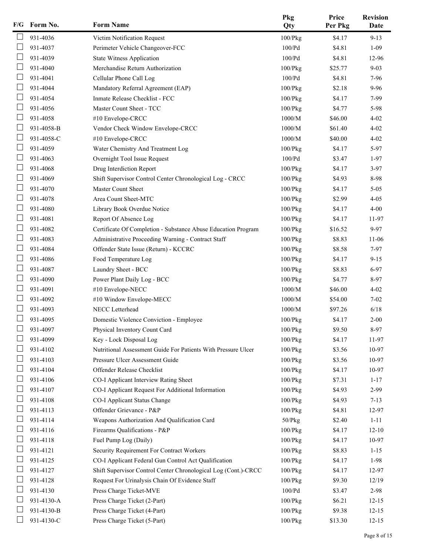| F/G | Form No.   | <b>Form Name</b>                                               | Pkg<br>Qty    | Price<br>Per Pkg | <b>Revision</b><br>Date |
|-----|------------|----------------------------------------------------------------|---------------|------------------|-------------------------|
|     | 931-4036   | Victim Notification Request                                    | 100/Pkg       | \$4.17           | $9 - 13$                |
|     | 931-4037   | Perimeter Vehicle Changeover-FCC                               | 100/Pd        | \$4.81           | $1-09$                  |
|     | 931-4039   | <b>State Witness Application</b>                               | 100/Pd        | \$4.81           | 12-96                   |
|     | 931-4040   | Merchandise Return Authorization                               | 100/Pkg       | \$25.77          | $9 - 03$                |
|     | 931-4041   | Cellular Phone Call Log                                        | 100/Pd        | \$4.81           | 7-96                    |
|     | 931-4044   | Mandatory Referral Agreement (EAP)                             | $100$ / $Pkg$ | \$2.18           | $9 - 96$                |
|     | 931-4054   | Inmate Release Checklist - FCC                                 | 100/Pkg       | \$4.17           | 7-99                    |
|     | 931-4056   | Master Count Sheet - TCC                                       | $100$ / $Pkg$ | \$4.77           | 5-98                    |
|     | 931-4058   | #10 Envelope-CRCC                                              | 1000/M        | \$46.00          | $4 - 02$                |
|     | 931-4058-B | Vendor Check Window Envelope-CRCC                              | 1000/M        | \$61.40          | $4 - 02$                |
|     | 931-4058-C | #10 Envelope-CRCC                                              | 1000/M        | \$40.00          | $4 - 02$                |
|     | 931-4059   | Water Chemistry And Treatment Log                              | 100/Pkg       | \$4.17           | 5-97                    |
|     | 931-4063   | Overnight Tool Issue Request                                   | 100/Pd        | \$3.47           | $1-97$                  |
|     | 931-4068   | Drug Interdiction Report                                       | 100/Pkg       | \$4.17           | $3-97$                  |
|     | 931-4069   | Shift Supervisor Control Center Chronological Log - CRCC       | 100/Pkg       | \$4.93           | 8-98                    |
|     | 931-4070   | <b>Master Count Sheet</b>                                      | $100$ / $Pkg$ | \$4.17           | $5 - 05$                |
|     | 931-4078   | Area Count Sheet-MTC                                           | $100$ / $Pkg$ | \$2.99           | $4 - 05$                |
|     | 931-4080   | Library Book Overdue Notice                                    | $100$ / $Pkg$ | \$4.17           | $4 - 00$                |
|     | 931-4081   | Report Of Absence Log                                          | $100$ / $Pkg$ | \$4.17           | 11-97                   |
|     | 931-4082   | Certificate Of Completion - Substance Abuse Education Program  | $100$ / $Pkg$ | \$16.52          | 9-97                    |
|     | 931-4083   | Administrative Proceeding Warning - Contract Staff             | $100$ / $Pkg$ | \$8.83           | $11-06$                 |
|     | 931-4084   | Offender State Issue (Return) - KCCRC                          | $100$ / $Pkg$ | \$8.58           | $7 - 97$                |
|     | 931-4086   | Food Temperature Log                                           | $100$ / $Pkg$ | \$4.17           | $9 - 15$                |
|     | 931-4087   | Laundry Sheet - BCC                                            | $100$ / $Pkg$ | \$8.83           | $6 - 97$                |
|     | 931-4090   | Power Plant Daily Log - BCC                                    | 100/Pkg       | \$4.77           | 8-97                    |
|     | 931-4091   | #10 Envelope-NECC                                              | 1000/M        | \$46.00          | $4 - 02$                |
|     | 931-4092   | #10 Window Envelope-MECC                                       | 1000/M        | \$54.00          | $7 - 02$                |
|     | 931-4093   | NECC Letterhead                                                | 1000/M        | \$97.26          | 6/18                    |
|     | 931-4095   | Domestic Violence Conviction - Employee                        | 100/Pkg       | \$4.17           | $2 - 00$                |
|     | 931-4097   | Physical Inventory Count Card                                  | 100/Pkg       | \$9.50           | 8-97                    |
|     | 931-4099   | Key - Lock Disposal Log                                        | $100$ / $Pkg$ | \$4.17           | 11-97                   |
|     | 931-4102   | Nutritional Assessment Guide For Patients With Pressure Ulcer  | $100$ / $Pkg$ | \$3.56           | 10-97                   |
|     | 931-4103   | Pressure Ulcer Assessment Guide                                | 100/Pkg       | \$3.56           | 10-97                   |
|     | 931-4104   | Offender Release Checklist                                     | $100$ / $Pkg$ | \$4.17           | 10-97                   |
|     | 931-4106   | CO-I Applicant Interview Rating Sheet                          | 100/Pkg       | \$7.31           | $1 - 17$                |
|     | 931-4107   | CO-I Applicant Request For Additional Information              | $100$ / $Pkg$ | \$4.93           | $2-99$                  |
|     | 931-4108   | CO-I Applicant Status Change                                   | 100/Pkg       | \$4.93           | $7 - 13$                |
|     | 931-4113   | Offender Grievance - P&P                                       | $100$ / $Pkg$ | \$4.81           | 12-97                   |
|     | 931-4114   | Weapons Authorization And Qualification Card                   | $50$ / $Pkg$  | \$2.40           | $1 - 11$                |
|     | 931-4116   | Firearms Qualifications - P&P                                  | 100/Pkg       | \$4.17           | $12 - 10$               |
|     | 931-4118   | Fuel Pump Log (Daily)                                          | 100/Pkg       | \$4.17           | 10-97                   |
|     | 931-4121   | Security Requirement For Contract Workers                      | 100/Pkg       | \$8.83           | $1 - 15$                |
|     | 931-4125   | CO-I Applicant Federal Gun Control Act Qualification           | 100/Pkg       | \$4.17           | 1-98                    |
|     | 931-4127   | Shift Supervisor Control Center Chronological Log (Cont.)-CRCC | 100/Pkg       | \$4.17           | 12-97                   |
|     | 931-4128   | Request For Urinalysis Chain Of Evidence Staff                 | $100$ / $Pkg$ | \$9.30           | 12/19                   |
|     | 931-4130   | Press Charge Ticket-MVE                                        | $100/Pd$      | \$3.47           | 2-98                    |
|     | 931-4130-A | Press Charge Ticket (2-Part)                                   | 100/Pkg       | \$6.21           | $12 - 15$               |
|     | 931-4130-B | Press Charge Ticket (4-Part)                                   | 100/Pkg       | \$9.38           | $12 - 15$               |
|     | 931-4130-C | Press Charge Ticket (5-Part)                                   | 100/Pkg       | \$13.30          | $12 - 15$               |
|     |            |                                                                |               |                  |                         |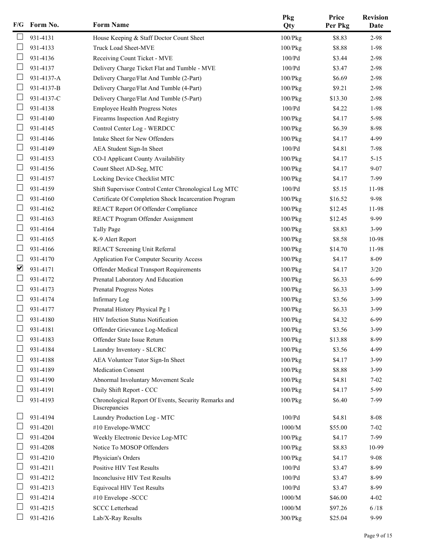| F/G                      | Form No.   | <b>Form Name</b>                                                      | Pkg<br>Qty    | Price<br>Per Pkg | <b>Revision</b><br>Date |
|--------------------------|------------|-----------------------------------------------------------------------|---------------|------------------|-------------------------|
|                          | 931-4131   | House Keeping & Staff Doctor Count Sheet                              | $100$ / $Pkg$ | \$8.83           | 2-98                    |
|                          | 931-4133   | Truck Load Sheet-MVE                                                  | 100/Pkg       | \$8.88           | 1-98                    |
|                          | 931-4136   | Receiving Count Ticket - MVE                                          | 100/Pd        | \$3.44           | 2-98                    |
|                          | 931-4137   | Delivery Charge Ticket Flat and Tumble - MVE                          | 100/Pd        | \$3.47           | 2-98                    |
|                          | 931-4137-A | Delivery Charge/Flat And Tumble (2-Part)                              | 100/Pkg       | \$6.69           | 2-98                    |
|                          | 931-4137-B | Delivery Charge/Flat And Tumble (4-Part)                              | $100$ / $Pkg$ | \$9.21           | 2-98                    |
|                          | 931-4137-C | Delivery Charge/Flat And Tumble (5-Part)                              | 100/Pkg       | \$13.30          | 2-98                    |
|                          | 931-4138   | Employee Health Progress Notes                                        | 100/Pd        | \$4.22           | 1-98                    |
|                          | 931-4140   | Firearms Inspection And Registry                                      | $100$ / $Pkg$ | \$4.17           | 5-98                    |
|                          | 931-4145   | Control Center Log - WERDCC                                           | 100/Pkg       | \$6.39           | 8-98                    |
|                          | 931-4146   | Intake Sheet for New Offenders                                        | 100/Pkg       | \$4.17           | 4-99                    |
|                          | 931-4149   | AEA Student Sign-In Sheet                                             | 100/Pd        | \$4.81           | 7-98                    |
|                          | 931-4153   | CO-I Applicant County Availability                                    | 100/Pkg       | \$4.17           | $5 - 15$                |
|                          | 931-4156   | Count Sheet AD-Seg, MTC                                               | $100$ / $Pkg$ | \$4.17           | $9 - 07$                |
| $\overline{\phantom{a}}$ | 931-4157   | Locking Device Checklist MTC                                          | 100/Pkg       | \$4.17           | 7-99                    |
|                          | 931-4159   | Shift Supervisor Control Center Chronological Log MTC                 | 100/Pd        | \$5.15           | 11-98                   |
|                          | 931-4160   | Certificate Of Completion Shock Incarceration Program                 | 100/Pkg       | \$16.52          | 9-98                    |
|                          | 931-4162   | REACT Report Of Offender Compliance                                   | 100/Pkg       | \$12.45          | 11-98                   |
|                          | 931-4163   | REACT Program Offender Assignment                                     | 100/Pkg       | \$12.45          | 9-99                    |
| ∟                        | 931-4164   | <b>Tally Page</b>                                                     | 100/Pkg       | \$8.83           | $3-99$                  |
|                          | 931-4165   | K-9 Alert Report                                                      | 100/Pkg       | \$8.58           | 10-98                   |
|                          | 931-4166   | REACT Screening Unit Referral                                         | 100/Pkg       | \$14.70          | 11-98                   |
|                          | 931-4170   | Application For Computer Security Access                              | 100/Pkg       | \$4.17           | 8-09                    |
| ☑                        | 931-4171   | Offender Medical Transport Requirements                               | 100/Pkg       | \$4.17           | $3/20$                  |
|                          | 931-4172   | Prenatal Laboratory And Education                                     | 100/Pkg       | \$6.33           | 6-99                    |
|                          | 931-4173   | Prenatal Progress Notes                                               | 100/Pkg       | \$6.33           | $3-99$                  |
|                          | 931-4174   | Infirmary Log                                                         | 100/Pkg       | \$3.56           | $3-99$                  |
|                          | 931-4177   | Prenatal History Physical Pg 1                                        | 100/Pkg       | \$6.33           | $3-99$                  |
|                          | 931-4180   | HIV Infection Status Notification                                     | $100$ / $Pkg$ | \$4.32           | 6-99                    |
|                          | 931-4181   | Offender Grievance Log-Medical                                        | $100$ / $Pkg$ | \$3.56           | 3-99                    |
|                          | 931-4183   | Offender State Issue Return                                           | $100$ / $Pkg$ | \$13.88          | 8-99                    |
|                          | 931-4184   | Laundry Inventory - SLCRC                                             | $100$ / $Pkg$ | \$3.56           | 4-99                    |
|                          | 931-4188   | AEA Volunteer Tutor Sign-In Sheet                                     | $100$ / $Pkg$ | \$4.17           | $3-99$                  |
|                          | 931-4189   | <b>Medication Consent</b>                                             | 100/Pkg       | \$8.88           | $3-99$                  |
|                          | 931-4190   | Abnormal Involuntary Movement Scale                                   | 100/Pkg       | \$4.81           | $7 - 02$                |
|                          | 931-4191   | Daily Shift Report - CCC                                              | $100$ / $Pkg$ | \$4.17           | 5-99                    |
|                          | 931-4193   | Chronological Report Of Events, Security Remarks and<br>Discrepancies | 100/Pkg       | \$6.40           | 7-99                    |
|                          | 931-4194   | Laundry Production Log - MTC                                          | 100/Pd        | \$4.81           | 8-08                    |
|                          | 931-4201   | #10 Envelope-WMCC                                                     | $1000/M$      | \$55.00          | $7 - 02$                |
|                          | 931-4204   | Weekly Electronic Device Log-MTC                                      | $100$ / $Pkg$ | \$4.17           | 7-99                    |
|                          | 931-4208   | Notice To MOSOP Offenders                                             | $100$ / $Pkg$ | \$8.83           | 10-99                   |
|                          | 931-4210   | Physician's Orders                                                    | 100/Pkg       | \$4.17           | $9 - 08$                |
|                          | 931-4211   | Positive HIV Test Results                                             | 100/Pd        | \$3.47           | 8-99                    |
|                          | 931-4212   | Inconclusive HIV Test Results                                         | 100/Pd        | \$3.47           | 8-99                    |
|                          | 931-4213   | Equivocal HIV Test Results                                            | 100/Pd        | \$3.47           | 8-99                    |
|                          | 931-4214   | #10 Envelope -SCCC                                                    | 1000/M        | \$46.00          | $4 - 02$                |
|                          | 931-4215   | <b>SCCC</b> Letterhead                                                | $1000/M$      | \$97.26          | 6/18                    |
|                          | 931-4216   | Lab/X-Ray Results                                                     | 300/Pkg       | \$25.04          | 9-99                    |
|                          |            |                                                                       |               |                  |                         |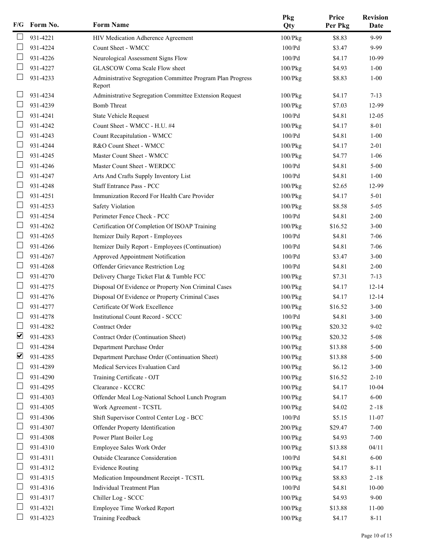| F/G                  | Form No. | <b>Form Name</b>                                                     | Pkg<br>Qty    | Price<br>Per Pkg | <b>Revision</b><br>Date |
|----------------------|----------|----------------------------------------------------------------------|---------------|------------------|-------------------------|
|                      | 931-4221 | HIV Medication Adherence Agreement                                   | 100/Pkg       | \$8.83           | 9-99                    |
|                      | 931-4224 | Count Sheet - WMCC                                                   | 100/Pd        | \$3.47           | 9-99                    |
|                      | 931-4226 | Neurological Assessment Signs Flow                                   | 100/Pd        | \$4.17           | 10-99                   |
|                      | 931-4227 | <b>GLASCOW Coma Scale Flow sheet</b>                                 | $100$ / $Pkg$ | \$4.93           | $1 - 00$                |
|                      | 931-4233 | Administrative Segregation Committee Program Plan Progress<br>Report | 100/Pkg       | \$8.83           | $1 - 00$                |
|                      | 931-4234 | Administrative Segregation Committee Extension Request               | $100$ / $Pkg$ | \$4.17           | $7 - 13$                |
|                      | 931-4239 | <b>Bomb Threat</b>                                                   | $100$ / $Pkg$ | \$7.03           | 12-99                   |
|                      | 931-4241 | <b>State Vehicle Request</b>                                         | 100/Pd        | \$4.81           | $12 - 05$               |
|                      | 931-4242 | Count Sheet - WMCC - H.U. #4                                         | $100$ / $Pkg$ | \$4.17           | 8-01                    |
|                      | 931-4243 | Count Recapitulation - WMCC                                          | 100/Pd        | \$4.81           | $1 - 00$                |
|                      | 931-4244 | R&O Count Sheet - WMCC                                               | $100$ / $Pkg$ | \$4.17           | $2 - 01$                |
|                      | 931-4245 | Master Count Sheet - WMCC                                            | $100$ / $Pkg$ | \$4.77           | $1 - 06$                |
|                      | 931-4246 | Master Count Sheet - WERDCC                                          | 100/Pd        | \$4.81           | $5 - 00$                |
|                      | 931-4247 | Arts And Crafts Supply Inventory List                                | 100/Pd        | \$4.81           | $1 - 00$                |
| L                    | 931-4248 | <b>Staff Entrance Pass - PCC</b>                                     | $100$ / $Pkg$ | \$2.65           | 12-99                   |
|                      | 931-4251 | Immunization Record For Health Care Provider                         | $100$ / $Pkg$ | \$4.17           | $5 - 01$                |
|                      | 931-4253 | Safety Violation                                                     | $100$ / $Pkg$ | \$8.58           | $5 - 05$                |
|                      | 931-4254 | Perimeter Fence Check - PCC                                          | 100/Pd        | \$4.81           | $2 - 00$                |
|                      | 931-4262 | Certification Of Completion Of ISOAP Training                        | $100$ / $Pkg$ | \$16.52          | $3 - 00$                |
| L                    | 931-4265 | Itemizer Daily Report - Employees                                    | 100/Pd        | \$4.81           | $7 - 06$                |
|                      | 931-4266 | Itemizer Daily Report - Employees (Continuation)                     | 100/Pd        | \$4.81           | $7 - 06$                |
|                      | 931-4267 | Approved Appointment Notification                                    | 100/Pd        | \$3.47           | $3 - 00$                |
| I.                   | 931-4268 | Offender Grievance Restriction Log                                   | 100/Pd        | \$4.81           | $2 - 00$                |
|                      | 931-4270 | Delivery Charge Ticket Flat & Tumble FCC                             | $100$ / $Pkg$ | \$7.31           | $7 - 13$                |
| $\Box$               | 931-4275 | Disposal Of Evidence or Property Non Criminal Cases                  | 100/Pkg       | \$4.17           | $12 - 14$               |
|                      | 931-4276 | Disposal Of Evidence or Property Criminal Cases                      | 100/Pkg       | \$4.17           | $12 - 14$               |
|                      | 931-4277 | Certificate Of Work Excellence                                       | $100$ / $Pkg$ | \$16.52          | $3 - 00$                |
|                      | 931-4278 | <b>Institutional Count Record - SCCC</b>                             | 100/Pd        | \$4.81           | $3 - 00$                |
|                      | 931-4282 | Contract Order                                                       | 100/Pkg       | \$20.32          | $9 - 02$                |
| $\blacktriangledown$ | 931-4283 | Contract Order (Continuation Sheet)                                  | $100$ / $Pkg$ | \$20.32          | $5 - 08$                |
|                      | 931-4284 | Department Purchase Order                                            | $100$ / $Pkg$ | \$13.88          | $5 - 00$                |
| ☑                    | 931-4285 | Department Purchase Order (Continuation Sheet)                       | $100$ / $Pkg$ | \$13.88          | $5 - 00$                |
|                      | 931-4289 | Medical Services Evaluation Card                                     | $100$ / $Pkg$ | \$6.12           | $3 - 00$                |
|                      | 931-4290 | Training Certificate - OJT                                           | $100$ / $Pkg$ | \$16.52          | $2 - 10$                |
|                      | 931-4295 | Clearance - KCCRC                                                    | $100$ / $Pkg$ | \$4.17           | $10 - 04$               |
|                      | 931-4303 | Offender Meal Log-National School Lunch Program                      | 100/Pkg       | \$4.17           | $6 - 00$                |
|                      | 931-4305 | Work Agreement - TCSTL                                               | 100/Pkg       | \$4.02           | $2 - 18$                |
|                      | 931-4306 | Shift Supervisor Control Center Log - BCC                            | $100/Pd$      | \$5.15           | 11-07                   |
|                      | 931-4307 | Offender Property Identification                                     | $200$ / $Pkg$ | \$29.47          | $7 - 00$                |
|                      | 931-4308 | Power Plant Boiler Log                                               | $100$ / $Pkg$ | \$4.93           | $7 - 00$                |
|                      | 931-4310 | Employee Sales Work Order                                            | 100/Pkg       | \$13.88          | 04/11                   |
|                      | 931-4311 | Outside Clearance Consideration                                      | $100/Pd$      | \$4.81           | $6 - 00$                |
|                      | 931-4312 | <b>Evidence Routing</b>                                              | 100/Pkg       | \$4.17           | $8 - 11$                |
|                      | 931-4315 | Medication Impoundment Receipt - TCSTL                               | 100/Pkg       | \$8.83           | $2 - 18$                |
|                      | 931-4316 | Individual Treatment Plan                                            | 100/Pd        | \$4.81           | $10 - 00$               |
|                      | 931-4317 | Chiller Log - SCCC                                                   | 100/Pkg       | \$4.93           | $9 - 00$                |
|                      | 931-4321 | Employee Time Worked Report                                          | $100$ / $Pkg$ | \$13.88          | $11-00$                 |
|                      | 931-4323 | <b>Training Feedback</b>                                             | 100/Pkg       | \$4.17           | $8 - 11$                |
|                      |          |                                                                      |               |                  |                         |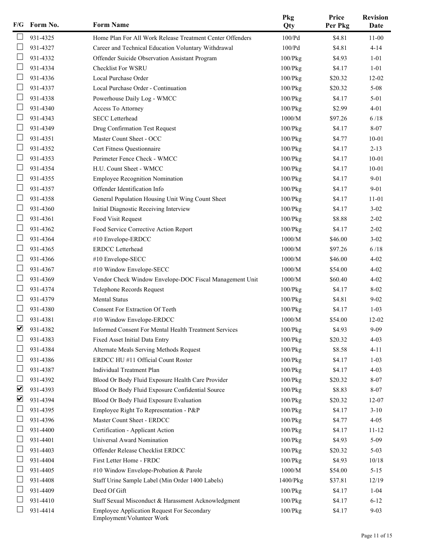| F/G                          | Form No. | <b>Form Name</b>                                                               | Pkg<br>Qty    | Price<br>Per Pkg | <b>Revision</b><br>Date |
|------------------------------|----------|--------------------------------------------------------------------------------|---------------|------------------|-------------------------|
|                              | 931-4325 | Home Plan For All Work Release Treatment Center Offenders                      | 100/Pd        | \$4.81           | $11 - 00$               |
|                              | 931-4327 | Career and Technical Education Voluntary Withdrawal                            | 100/Pd        | \$4.81           | $4 - 14$                |
|                              | 931-4332 | Offender Suicide Observation Assistant Program                                 | $100$ / $Pkg$ | \$4.93           | $1 - 01$                |
|                              | 931-4334 | Checklist For WSRU                                                             | $100$ / $Pkg$ | \$4.17           | $1 - 01$                |
|                              | 931-4336 | Local Purchase Order                                                           | $100$ / $Pkg$ | \$20.32          | $12 - 02$               |
|                              | 931-4337 | Local Purchase Order - Continuation                                            | $100$ / $Pkg$ | \$20.32          | $5 - 08$                |
|                              | 931-4338 | Powerhouse Daily Log - WMCC                                                    | 100/Pkg       | \$4.17           | $5 - 01$                |
|                              | 931-4340 | Access To Attorney                                                             | $100$ / $Pkg$ | \$2.99           | $4 - 01$                |
|                              | 931-4343 | <b>SECC</b> Letterhead                                                         | 1000/M        | \$97.26          | 6/18                    |
| $\vert \ \ \vert$            | 931-4349 | Drug Confirmation Test Request                                                 | 100/Pkg       | \$4.17           | 8-07                    |
|                              | 931-4351 | Master Count Sheet - OCC                                                       | $100$ / $Pkg$ | \$4.77           | $10 - 01$               |
|                              | 931-4352 | Cert Fitness Questionnaire                                                     | 100/Pkg       | \$4.17           | $2 - 13$                |
|                              | 931-4353 | Perimeter Fence Check - WMCC                                                   | $100$ / $Pkg$ | \$4.17           | $10 - 01$               |
|                              | 931-4354 | H.U. Count Sheet - WMCC                                                        | $100$ / $Pkg$ | \$4.17           | $10 - 01$               |
| $\vert \ \ \vert$            | 931-4355 | <b>Employee Recognition Nomination</b>                                         | 100/Pkg       | \$4.17           | $9 - 01$                |
|                              | 931-4357 | Offender Identification Info                                                   | 100/Pkg       | \$4.17           | $9 - 01$                |
|                              | 931-4358 | General Population Housing Unit Wing Count Sheet                               | 100/Pkg       | \$4.17           | $11 - 01$               |
|                              | 931-4360 | Initial Diagnostic Receiving Interview                                         | $100$ / $Pkg$ | \$4.17           | $3 - 02$                |
|                              | 931-4361 | Food Visit Request                                                             | $100$ / $Pkg$ | \$8.88           | $2 - 02$                |
| $\mathcal{L}_{\mathcal{A}}$  | 931-4362 | Food Service Corrective Action Report                                          | 100/Pkg       | \$4.17           | $2 - 02$                |
|                              | 931-4364 | #10 Envelope-ERDCC                                                             | 1000/M        | \$46.00          | $3 - 02$                |
|                              | 931-4365 | <b>ERDCC</b> Letterhead                                                        | 1000/M        | \$97.26          | 6/18                    |
|                              | 931-4366 | #10 Envelope-SECC                                                              | 1000/M        | \$46.00          | $4 - 02$                |
|                              | 931-4367 | #10 Window Envelope-SECC                                                       | 1000/M        | \$54.00          | $4 - 02$                |
| $\mathcal{L}_{\mathcal{A}}$  | 931-4369 | Vendor Check Window Envelope-DOC Fiscal Management Unit                        | 1000/M        | \$60.40          | $4 - 02$                |
|                              | 931-4374 | Telephone Records Request                                                      | 100/Pkg       | \$4.17           | $8 - 02$                |
|                              | 931-4379 | Mental Status                                                                  | 100/Pkg       | \$4.81           | $9 - 02$                |
|                              | 931-4380 | Consent For Extraction Of Teeth                                                | $100$ / $Pkg$ | \$4.17           | $1 - 03$                |
|                              | 931-4381 | #10 Window Envelope-ERDCC                                                      | 1000/M        | \$54.00          | 12-02                   |
| ☑                            | 931-4382 | Informed Consent For Mental Health Treatment Services                          | 100/Pkg       | \$4.93           | $9 - 09$                |
|                              | 931-4383 | Fixed Asset Initial Data Entry                                                 | $100$ / $Pkg$ | \$20.32          | $4 - 03$                |
|                              | 931-4384 | Alternate Meals Serving Methods Request                                        | $100$ / $Pkg$ | \$8.58           | $4 - 11$                |
|                              | 931-4386 | ERDCC HU #11 Official Count Roster                                             | $100$ / $Pkg$ | \$4.17           | $1 - 03$                |
|                              | 931-4387 | Individual Treatment Plan                                                      | 100/Pkg       | \$4.17           | $4 - 03$                |
| $\mathbf{L}$                 | 931-4392 | Blood Or Body Fluid Exposure Health Care Provider                              | 100/Pkg       | \$20.32          | $8 - 07$                |
| $\boxed{\blacktriangledown}$ | 931-4393 | Blood Or Body Fluid Exposure Confidential Source                               | $100$ / $Pkg$ | \$8.83           | $8 - 07$                |
| $\blacktriangledown$         | 931-4394 | Blood Or Body Fluid Exposure Evaluation                                        | 100/Pkg       | \$20.32          | $12 - 07$               |
|                              | 931-4395 | Employee Right To Representation - P&P                                         | $100$ / $Pkg$ | \$4.17           | $3-10$                  |
|                              | 931-4396 | Master Count Sheet - ERDCC                                                     | $100$ / $Pkg$ | \$4.77           | $4 - 05$                |
| $\overline{\phantom{a}}$     | 931-4400 | Certification - Applicant Action                                               | $100$ / $Pkg$ | \$4.17           | $11 - 12$               |
|                              | 931-4401 | Universal Award Nomination                                                     | $100$ / $Pkg$ | \$4.93           | $5-09$                  |
|                              | 931-4403 | Offender Release Checklist ERDCC                                               | 100/Pkg       | \$20.32          | $5 - 03$                |
|                              | 931-4404 | First Letter Home - FRDC                                                       | $100$ / $Pkg$ | \$4.93           | 10/18                   |
|                              | 931-4405 | #10 Window Envelope-Probation & Parole                                         | $1000/M$      | \$54.00          | $5 - 15$                |
|                              | 931-4408 | Staff Urine Sample Label (Min Order 1400 Labels)                               |               | \$37.81          | 12/19                   |
|                              | 931-4409 |                                                                                | 1400/Pkg      |                  |                         |
|                              | 931-4410 | Deed Of Gift                                                                   | 100/Pkg       | \$4.17           | $1 - 04$                |
|                              | 931-4414 | Staff Sexual Misconduct & Harassment Acknowledgment                            | 100/Pkg       | \$4.17           | $6 - 12$<br>$9 - 03$    |
|                              |          | <b>Employee Application Request For Secondary</b><br>Employment/Volunteer Work | 100/Pkg       | \$4.17           |                         |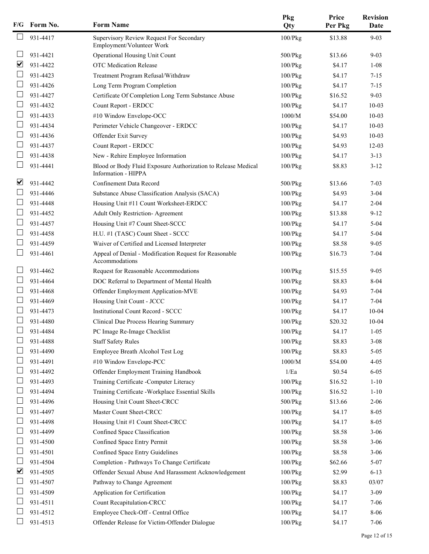|                      | F/G Form No. | <b>Form Name</b>                                                                     | Pkg<br>Qty    | Price<br>Per Pkg | <b>Revision</b><br>Date |
|----------------------|--------------|--------------------------------------------------------------------------------------|---------------|------------------|-------------------------|
|                      | 931-4417     | Supervisory Review Request For Secondary<br>Employment/Volunteer Work                | $100$ / $Pkg$ | \$13.88          | $9 - 03$                |
|                      | 931-4421     | Operational Housing Unit Count                                                       | $500$ / $Pkg$ | \$13.66          | $9 - 03$                |
| $\blacktriangledown$ | 931-4422     | <b>OTC</b> Medication Release                                                        | 100/Pkg       | \$4.17           | $1 - 08$                |
|                      | 931-4423     | Treatment Program Refusal/Withdraw                                                   | 100/Pkg       | \$4.17           | $7 - 15$                |
|                      | 931-4426     | Long Term Program Completion                                                         | $100$ / $Pkg$ | \$4.17           | $7 - 15$                |
| $\Box$               | 931-4427     | Certificate Of Completion Long Term Substance Abuse                                  | $100$ / $Pkg$ | \$16.52          | $9 - 03$                |
| ⊔                    | 931-4432     | Count Report - ERDCC                                                                 | $100$ / $Pkg$ | \$4.17           | $10 - 03$               |
|                      | 931-4433     | #10 Window Envelope-OCC                                                              | 1000/M        | \$54.00          | $10 - 03$               |
|                      | 931-4434     | Perimeter Vehicle Changeover - ERDCC                                                 | $100$ / $Pkg$ | \$4.17           | $10 - 03$               |
|                      | 931-4436     | Offender Exit Survey                                                                 | $100$ / $Pkg$ | \$4.93           | $10 - 03$               |
| ⊔                    | 931-4437     | Count Report - ERDCC                                                                 | $100$ / $Pkg$ | \$4.93           | $12-03$                 |
|                      | 931-4438     | New - Rehire Employee Information                                                    | $100$ / $Pkg$ | \$4.17           | $3 - 13$                |
|                      | 931-4441     | Blood or Body Fluid Exposure Authorization to Release Medical<br>Information - HIPPA | $100$ / $Pkg$ | \$8.83           | $3 - 12$                |
| ☑                    | 931-4442     | Confinement Data Record                                                              | $500$ / $Pkg$ | \$13.66          | $7 - 03$                |
|                      | 931-4446     | Substance Abuse Classification Analysis (SACA)                                       | 100/Pkg       | \$4.93           | $3 - 04$                |
|                      | 931-4448     | Housing Unit #11 Count Worksheet-ERDCC                                               | $100$ / $Pkg$ | \$4.17           | $2 - 04$                |
|                      | 931-4452     | Adult Only Restriction- Agreement                                                    | 100/Pkg       | \$13.88          | $9 - 12$                |
| $\sqcup$             | 931-4457     | Housing Unit #7 Count Sheet-SCCC                                                     | 100/Pkg       | \$4.17           | $5 - 04$                |
| ⊔                    | 931-4458     | H.U. #1 (TASC) Count Sheet - SCCC                                                    | $100$ / $Pkg$ | \$4.17           | $5 - 04$                |
|                      | 931-4459     | Waiver of Certified and Licensed Interpreter                                         | 100/Pkg       | \$8.58           | $9 - 05$                |
|                      | 931-4461     | Appeal of Denial - Modification Request for Reasonable<br>Accommodations             | 100/Pkg       | \$16.73          | $7 - 04$                |
|                      | 931-4462     | Request for Reasonable Accommodations                                                | 100/Pkg       | \$15.55          | $9 - 05$                |
|                      | 931-4464     | DOC Referral to Department of Mental Health                                          | 100/Pkg       | \$8.83           | $8 - 04$                |
|                      | 931-4468     | Offender Employment Application-MVE                                                  | 100/Pkg       | \$4.93           | $7 - 04$                |
|                      | 931-4469     | Housing Unit Count - JCCC                                                            | $100$ / $Pkg$ | \$4.17           | $7 - 04$                |
|                      | 931-4473     | <b>Institutional Count Record - SCCC</b>                                             | $100$ / $Pkg$ | \$4.17           | $10 - 04$               |
|                      | 931-4480     | Clinical Due Process Hearing Summary                                                 | $100$ / $Pkg$ | \$20.32          | $10 - 04$               |
|                      | 931-4484     | PC Image Re-Image Checklist                                                          | 100/Pkg       | \$4.17           | $1 - 05$                |
|                      | 931-4488     | <b>Staff Safety Rules</b>                                                            | $100$ / $Pkg$ | \$8.83           | $3 - 08$                |
|                      | 931-4490     | Employee Breath Alcohol Test Log                                                     | $100$ / $Pkg$ | \$8.83           | $5 - 05$                |
|                      | 931-4491     | #10 Window Envelope-PCC                                                              | $1000/M$      | \$54.00          | $4 - 05$                |
|                      | 931-4492     | Offender Employment Training Handbook                                                | $1/Ea$        | \$0.54           | $6 - 05$                |
|                      | 931-4493     | Training Certificate -Computer Literacy                                              | $100$ / $Pkg$ | \$16.52          | $1 - 10$                |
|                      | 931-4494     | Training Certificate - Workplace Essential Skills                                    | $100$ / $Pkg$ | \$16.52          | $1 - 10$                |
| $\Box$               | 931-4496     | Housing Unit Count Sheet-CRCC                                                        | 500/Pkg       | \$13.66          | $2 - 06$                |
|                      | 931-4497     | Master Count Sheet-CRCC                                                              | $100$ / $Pkg$ | \$4.17           | $8 - 05$                |
|                      | 931-4498     | Housing Unit #1 Count Sheet-CRCC                                                     | $100$ / $Pkg$ | \$4.17           | $8 - 05$                |
|                      | 931-4499     | Confined Space Classification                                                        | $100$ / $Pkg$ | \$8.58           | $3 - 06$                |
|                      | 931-4500     | Confined Space Entry Permit                                                          | $100$ / $Pkg$ | \$8.58           | $3 - 06$                |
|                      | 931-4501     | Confined Space Entry Guidelines                                                      | 100/Pkg       | \$8.58           | $3 - 06$                |
| $\sqcup$             | 931-4504     | Completion - Pathways To Change Certificate                                          | 100/Pkg       | \$62.66          | $5 - 07$                |
| $\blacktriangledown$ | 931-4505     | Offender Sexual Abuse And Harassment Acknowledgement                                 | $100$ / $Pkg$ | \$2.99           | $6 - 13$                |
|                      | 931-4507     | Pathway to Change Agreement                                                          | $100$ / $Pkg$ | \$8.83           | 03/07                   |
|                      | 931-4509     | Application for Certification                                                        | $100$ / $Pkg$ | \$4.17           | $3 - 09$                |
|                      | 931-4511     | Count Recapitulation-CRCC                                                            | 100/Pkg       | \$4.17           | $7 - 06$                |
|                      | 931-4512     | Employee Check-Off - Central Office                                                  | $100$ / $Pkg$ | \$4.17           | $8 - 06$                |
|                      | 931-4513     | Offender Release for Victim-Offender Dialogue                                        | $100$ / $Pkg$ | \$4.17           | $7 - 06$                |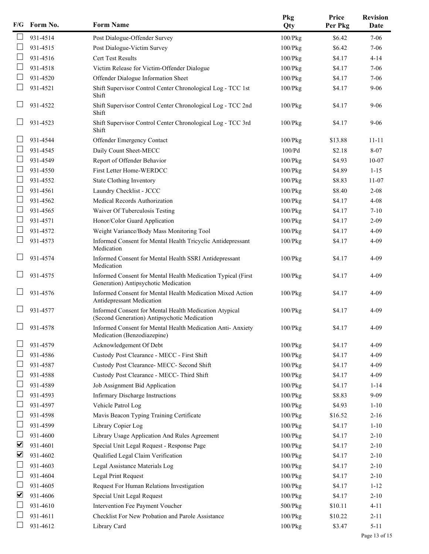| F/G | Form No. | <b>Form Name</b>                                                                                       | Pkg<br>Qty    | Price<br>Per Pkg | <b>Revision</b><br>Date |
|-----|----------|--------------------------------------------------------------------------------------------------------|---------------|------------------|-------------------------|
|     | 931-4514 | Post Dialogue-Offender Survey                                                                          | $100$ / $Pkg$ | \$6.42           | $7 - 06$                |
|     | 931-4515 | Post Dialogue-Victim Survey                                                                            | 100/Pkg       | \$6.42           | $7 - 06$                |
|     | 931-4516 | <b>Cert Test Results</b>                                                                               | $100$ / $Pkg$ | \$4.17           | $4 - 14$                |
|     | 931-4518 | Victim Release for Victim-Offender Dialogue                                                            | $100$ / $Pkg$ | \$4.17           | $7 - 06$                |
|     | 931-4520 | Offender Dialogue Information Sheet                                                                    | $100$ / $Pkg$ | \$4.17           | $7 - 06$                |
|     | 931-4521 | Shift Supervisor Control Center Chronological Log - TCC 1st<br>Shift                                   | 100/Pkg       | \$4.17           | $9 - 06$                |
|     | 931-4522 | Shift Supervisor Control Center Chronological Log - TCC 2nd<br>Shift                                   | 100/Pkg       | \$4.17           | $9 - 06$                |
|     | 931-4523 | Shift Supervisor Control Center Chronological Log - TCC 3rd<br>Shift                                   | $100$ / $Pkg$ | \$4.17           | $9 - 06$                |
|     | 931-4544 | Offender Emergency Contact                                                                             | $100$ / $Pkg$ | \$13.88          | $11 - 11$               |
|     | 931-4545 | Daily Count Sheet-MECC                                                                                 | 100/Pd        | \$2.18           | 8-07                    |
|     | 931-4549 | Report of Offender Behavior                                                                            | $100$ / $Pkg$ | \$4.93           | $10 - 07$               |
|     | 931-4550 | First Letter Home-WERDCC                                                                               | 100/Pkg       | \$4.89           | $1 - 15$                |
|     | 931-4552 | State Clothing Inventory                                                                               | $100$ / $Pkg$ | \$8.83           | $11 - 07$               |
|     | 931-4561 | Laundry Checklist - JCCC                                                                               | 100/Pkg       | \$8.40           | $2 - 08$                |
|     | 931-4562 | Medical Records Authorization                                                                          | $100$ / $Pkg$ | \$4.17           | $4 - 08$                |
|     | 931-4565 | Waiver Of Tuberculosis Testing                                                                         | $100$ / $Pkg$ | \$4.17           | $7 - 10$                |
|     | 931-4571 | Honor/Color Guard Application                                                                          | $100$ / $Pkg$ | \$4.17           | $2 - 09$                |
|     | 931-4572 | Weight Variance/Body Mass Monitoring Tool                                                              | $100$ / $Pkg$ | \$4.17           | $4 - 09$                |
|     | 931-4573 | Informed Consent for Mental Health Tricyclic Antidepressant<br>Medication                              | $100$ / $Pkg$ | \$4.17           | $4 - 09$                |
|     | 931-4574 | Informed Consent for Mental Health SSRI Antidepressant<br>Medication                                   | 100/Pkg       | \$4.17           | $4 - 09$                |
|     | 931-4575 | Informed Consent for Mental Health Medication Typical (First<br>Generation) Antipsychotic Medication   | $100$ / $Pkg$ | \$4.17           | $4 - 09$                |
|     | 931-4576 | Informed Consent for Mental Health Medication Mixed Action<br>Antidepressant Medication                | $100$ / $Pkg$ | \$4.17           | $4 - 09$                |
|     | 931-4577 | Informed Consent for Mental Health Medication Atypical<br>(Second Generation) Antipsychotic Medication | 100/Pkg       | \$4.17           | $4 - 09$                |
|     | 931-4578 | Informed Consent for Mental Health Medication Anti- Anxiety<br>Medication (Benzodiazepine)             | 100/Pkg       | \$4.17           | $4 - 09$                |
|     | 931-4579 | Acknowledgement Of Debt                                                                                | $100$ / $Pkg$ | \$4.17           | 4-09                    |
|     | 931-4586 | Custody Post Clearance - MECC - First Shift                                                            | 100/Pkg       | \$4.17           | 4-09                    |
|     | 931-4587 | Custody Post Clearance- MECC- Second Shift                                                             | 100/Pkg       | \$4.17           | $4 - 09$                |
|     | 931-4588 | Custody Post Clearance - MECC- Third Shift                                                             | 100/Pkg       | \$4.17           | $4 - 09$                |
|     | 931-4589 | Job Assignment Bid Application                                                                         | $100$ / $Pkg$ | \$4.17           | $1 - 14$                |
|     | 931-4593 | <b>Infirmary Discharge Instructions</b>                                                                | $100$ / $Pkg$ | \$8.83           | $9 - 09$                |
|     | 931-4597 | Vehicle Patrol Log                                                                                     | $100$ / $Pkg$ | \$4.93           | $1 - 10$                |
|     | 931-4598 | Mavis Beacon Typing Training Certificate                                                               | 100/Pkg       | \$16.52          | $2 - 16$                |
|     | 931-4599 | Library Copier Log                                                                                     | 100/Pkg       | \$4.17           | $1 - 10$                |
|     | 931-4600 | Library Usage Application And Rules Agreement                                                          | $100$ / $Pkg$ | \$4.17           | $2 - 10$                |
| ⊻   | 931-4601 | Special Unit Legal Request - Response Page                                                             | 100/Pkg       | \$4.17           | $2 - 10$                |
| ⊻   | 931-4602 | Qualified Legal Claim Verification                                                                     | 100/Pkg       | \$4.17           | $2 - 10$                |
|     | 931-4603 | Legal Assistance Materials Log                                                                         | $100$ / $Pkg$ | \$4.17           | $2 - 10$                |
|     | 931-4604 | Legal Print Request                                                                                    | 100/Pkg       | \$4.17           | $2 - 10$                |
|     | 931-4605 | Request For Human Relations Investigation                                                              | $100$ / $Pkg$ | \$4.17           | $1 - 12$                |
| ☑   | 931-4606 | Special Unit Legal Request                                                                             | $100$ / $Pkg$ | \$4.17           | $2 - 10$                |
|     | 931-4610 | Intervention Fee Payment Voucher                                                                       | 500/Pkg       | \$10.11          | $4 - 11$                |
|     | 931-4611 | Checklist For New Probation and Parole Assistance                                                      | $100$ / $Pkg$ | \$10.22          | $2 - 11$                |
|     | 931-4612 | Library Card                                                                                           | 100/Pkg       | \$3.47           | $5 - 11$                |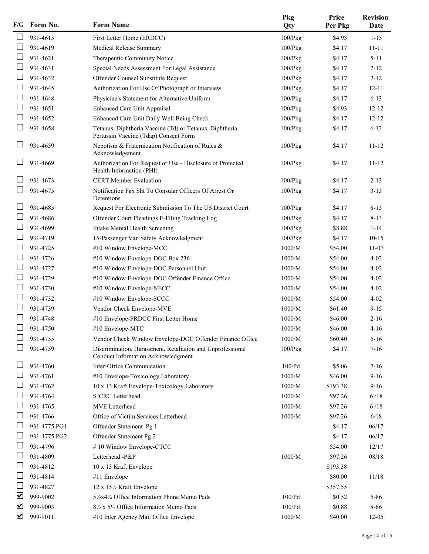| F/G | Form No.     | <b>Form Name</b>                                                                                 | Pkg<br>Qty    | Price<br>Per Pkg | <b>Revision</b><br>Date |
|-----|--------------|--------------------------------------------------------------------------------------------------|---------------|------------------|-------------------------|
|     | 931-4615     | First Letter Home (ERDCC)                                                                        | 100/Pkg       | \$4.93           | $1 - 15$                |
|     | 931-4619     | Medical Release Summary                                                                          | $100$ / $Pkg$ | \$4.17           | $11 - 11$               |
|     | 931-4621     | Therapeutic Community Notice                                                                     | $100$ / $Pkg$ | \$4.17           | $5 - 11$                |
|     | 931-4631     | Special Needs Assessment For Legal Assistance                                                    | $100$ / $Pkg$ | \$4.17           | $2 - 12$                |
|     | 931-4632     | Offender Counsel Substitute Request                                                              | $100$ / $Pkg$ | \$4.17           | $2 - 12$                |
|     | 931-4645     | Authorization For Use Of Photograph or Interview                                                 | $100$ / $Pkg$ | \$4.17           | $12 - 11$               |
|     | 931-4648     | Physician's Statement for Alternative Uniform                                                    | $100$ / $Pkg$ | \$4.17           | $6 - 13$                |
|     | 931-4651     | Enhanced Care Unit Appraisal                                                                     | $100$ / $Pkg$ | \$4.93           | $12 - 12$               |
|     | 931-4652     | Enhanced Care Unit Daily Well Being Check                                                        | $100$ / $Pkg$ | \$4.17           | $12 - 12$               |
|     | 931-4658     | Tetanus, Diphtheria Vaccine (Td) or Tetanus, Diphtheria<br>Pertussin Vaccine (Tdap) Consent Form | 100/Pkg       | \$4.17           | $6 - 13$                |
|     | 931-4659     | Nepotism & Fraternization Notification of Rules &<br>Acknowledgement                             | $100$ / $Pkg$ | \$4.17           | $11 - 12$               |
|     | 931-4669     | Authorization For Request or Use - Disclosure of Protected<br>Health Information (PHI)           | $100$ / $Pkg$ | \$4.17           | $11 - 12$               |
|     | 931-4673     | <b>CERT</b> Member Evaluation                                                                    | $100$ / $Pkg$ | \$4.17           | $2 - 13$                |
|     | 931-4675     | Notification Fax Sht To Consular Officers Of Arrest Or<br>Detentions                             | $100$ / $Pkg$ | \$4.17           | $3 - 13$                |
|     | 931-4685     | Request For Electronic Submission To The US District Court                                       | 100/Pkg       | \$4.17           | $8 - 13$                |
|     | 931-4686     | Offender Court Pleadings E-Filing Tracking Log                                                   | $100$ / $Pkg$ | \$4.17           | $8 - 13$                |
|     | 931-4699     | Intake Mental Health Screening                                                                   | $100$ / $Pkg$ | \$8.88           | $1 - 14$                |
|     | 931-4719     | 15-Passenger Van Safety Acknowledgment                                                           | $100$ / $Pkg$ | \$4.17           | $10-15$                 |
|     | 931-4725     | #10 Window Envelope-MCC                                                                          | 1000/M        | \$54.00          | $11 - 07$               |
|     | 931-4726     | #10 Window Envelope-DOC Box 236                                                                  | 1000/M        | \$54.00          | $4 - 02$                |
|     | 931-4727     | #10 Window Envelope-DOC Personnel Unit                                                           | 1000/M        | \$54.00          | $4 - 02$                |
|     | 931-4729     | #10 Window Envelope-DOC Offender Finance Office                                                  | 1000/M        | \$54.00          | $4 - 02$                |
|     | 931-4730     | #10 Window Envelope-NECC                                                                         | 1000/M        | \$54.00          | $4 - 02$                |
|     | 931-4732     | #10 Window Envelope-SCCC                                                                         | 1000/M        | \$54.00          | $4 - 02$                |
|     | 931-4739     | Vendor Check Envelope-MVE                                                                        | 1000/M        | \$61.40          | $9 - 15$                |
|     | 931-4748     | #10 Envelope-FRDCC First Letter Home                                                             | 1000/M        | \$46.00          | $2 - 16$                |
|     | 931-4750     | #10 Envelope-MTC                                                                                 | $1000/M$      | \$46.00          | $4 - 16$                |
|     | 931-4755     | Vendor Check Window Envelope-DOC Offender Finance Office                                         | 1000/M        | \$60.40          | $5 - 16$                |
|     | 931-4759     | Discrimination, Harassment, Retaliation and Unprofessional<br>Conduct Information Acknowledgment | $100$ / $Pkg$ | \$4.17           | $7 - 16$                |
|     | 931-4760     | Inter-Office Communication                                                                       | 100/Pd        | \$5.06           | $7 - 16$                |
|     | 931-4761     | #10 Envelope-Toxicology Laboratory                                                               | 1000/M        | \$46.00          | $9 - 16$                |
|     | 931-4762     | 10 x 13 Kraft Envelope-Toxicology Laboratory                                                     | 1000/M        | \$193.38         | $9 - 16$                |
|     | 931-4764     | <b>SJCRC</b> Letterhead                                                                          | 1000/M        | \$97.26          | 6/18                    |
|     | 931-4765     | MVE Letterhead                                                                                   | 1000/M        | \$97.26          | 6/18                    |
|     | 931-4766     | Office of Victim Services Letterhead                                                             | 1000/M        | \$97.26          | 6/18                    |
|     | 931-4775.PG1 | Offender Statement Pg 1                                                                          |               | \$4.17           | 06/17                   |
|     | 931-4775.PG2 | Offender Statement Pg 2                                                                          |               | \$4.17           | 06/17                   |
|     | 931-4796     | #10 Window Envelope-CTCC                                                                         |               | \$54.00          | 12/17                   |
|     | 931-4809     | Letterhead -P&P                                                                                  | 1000/M        | \$97.26          | 08/18                   |
|     | 931-4812     | 10 x 13 Kraft Envelope                                                                           |               | \$193.38         |                         |
|     | 931-4814     | #11 Envelope                                                                                     |               | \$80.00          | 11/18                   |
|     | 931-4827     | 12 x 15½ Kraft Envelope                                                                          |               | \$357.55         |                         |
| ⊻   | 999-9002     | 51/2x41/4 Office Information Phone Memo Pads                                                     | 100/Pd        | \$0.52           | $5 - 86$                |
| ☑   | 999-9003     | 81/2 x 51/2 Office Information Memo Pads                                                         | 100/Pd        | \$0.88           | 8-86                    |
| ☑   | 999-9011     | #10 Inter Agency Mail Office Envelope                                                            | 1000/M        | \$40.00          | $12-05$                 |